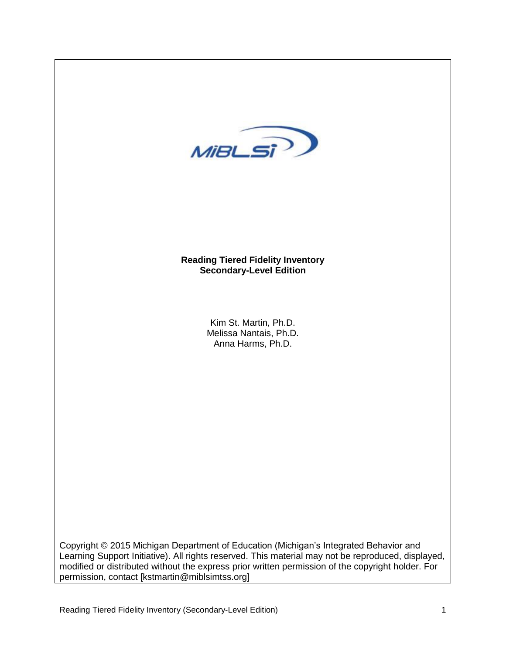

Copyright © 2015 Michigan Department of Education (Michigan's Integrated Behavior and Learning Support Initiative). All rights reserved. This material may not be reproduced, displayed, modified or distributed without the express prior written permission of the copyright holder. For permission, contact [kstmartin@miblsimtss.org]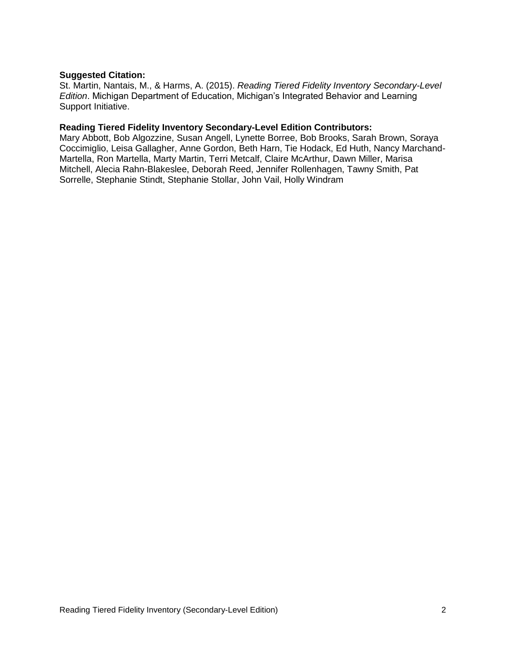## **Suggested Citation:**

St. Martin, Nantais, M., & Harms, A. (2015). *Reading Tiered Fidelity Inventory Secondary-Level Edition*. Michigan Department of Education, Michigan's Integrated Behavior and Learning Support Initiative.

## **Reading Tiered Fidelity Inventory Secondary-Level Edition Contributors:**

Mary Abbott, Bob Algozzine, Susan Angell, Lynette Borree, Bob Brooks, Sarah Brown, Soraya Coccimiglio, Leisa Gallagher, Anne Gordon, Beth Harn, Tie Hodack, Ed Huth, Nancy Marchand-Martella, Ron Martella, Marty Martin, Terri Metcalf, Claire McArthur, Dawn Miller, Marisa Mitchell, Alecia Rahn-Blakeslee, Deborah Reed, Jennifer Rollenhagen, Tawny Smith, Pat Sorrelle, Stephanie Stindt, Stephanie Stollar, John Vail, Holly Windram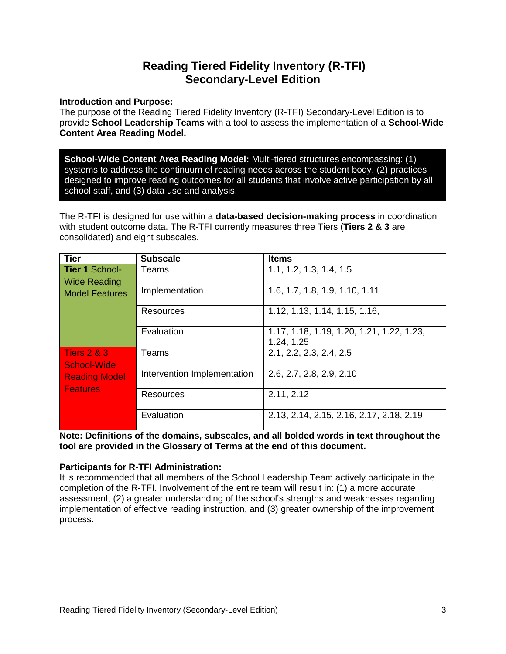# **Reading Tiered Fidelity Inventory (R-TFI) Secondary-Level Edition**

## **Introduction and Purpose:**

The purpose of the Reading Tiered Fidelity Inventory (R-TFI) Secondary-Level Edition is to provide **School Leadership Teams** with a tool to assess the implementation of a **School-Wide Content Area Reading Model.**

**School-Wide Content Area Reading Model:** Multi-tiered structures encompassing: (1) systems to address the continuum of reading needs across the student body, (2) practices designed to improve reading outcomes for all students that involve active participation by all school staff, and (3) data use and analysis.

The R-TFI is designed for use within a **data-based decision-making process** in coordination with student outcome data. The R-TFI currently measures three Tiers (**Tiers 2 & 3** are consolidated) and eight subscales.

| <b>Tier</b>                             | <b>Subscale</b>             | <b>Items</b>                              |
|-----------------------------------------|-----------------------------|-------------------------------------------|
| <b>Tier 1 School-</b>                   | Teams                       | 1.1, 1.2, 1.3, 1.4, 1.5                   |
| <b>Wide Reading</b>                     |                             |                                           |
| <b>Model Features</b>                   | Implementation              | 1.6, 1.7, 1.8, 1.9, 1.10, 1.11            |
|                                         | Resources                   | 1.12, 1.13, 1.14, 1.15, 1.16,             |
|                                         | Evaluation                  | 1.17, 1.18, 1.19, 1.20, 1.21, 1.22, 1.23, |
|                                         |                             | 1.24, 1.25                                |
| <b>Tiers 2 &amp; 3</b>                  | Teams                       | 2.1, 2.2, 2.3, 2.4, 2.5                   |
| <b>School-Wide</b>                      |                             |                                           |
| <b>Reading Model</b><br><b>Features</b> | Intervention Implementation | 2.6, 2.7, 2.8, 2.9, 2.10                  |
|                                         | Resources                   | 2.11, 2.12                                |
|                                         | Evaluation                  | 2.13, 2.14, 2.15, 2.16, 2.17, 2.18, 2.19  |

**Note: Definitions of the domains, subscales, and all bolded words in text throughout the tool are provided in the Glossary of Terms at the end of this document.**

## **Participants for R-TFI Administration:**

It is recommended that all members of the School Leadership Team actively participate in the completion of the R-TFI. Involvement of the entire team will result in: (1) a more accurate assessment, (2) a greater understanding of the school's strengths and weaknesses regarding implementation of effective reading instruction, and (3) greater ownership of the improvement process.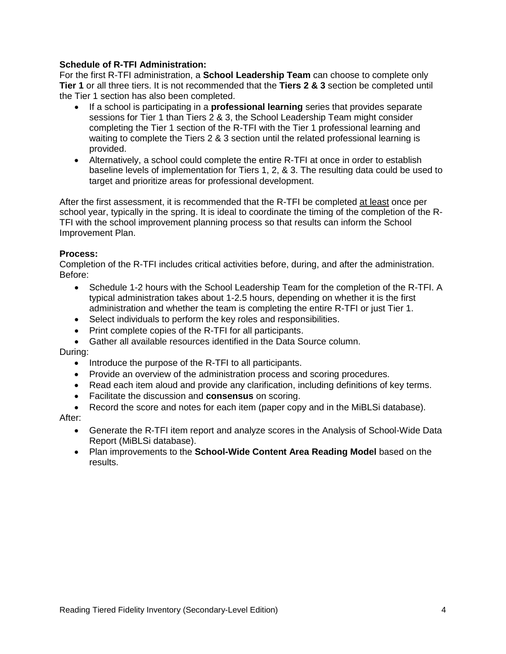## **Schedule of R-TFI Administration:**

For the first R-TFI administration, a **School Leadership Team** can choose to complete only **Tier 1** or all three tiers. It is not recommended that the **Tiers 2 & 3** section be completed until the Tier 1 section has also been completed.

- If a school is participating in a **professional learning** series that provides separate sessions for Tier 1 than Tiers 2 & 3, the School Leadership Team might consider completing the Tier 1 section of the R-TFI with the Tier 1 professional learning and waiting to complete the Tiers 2 & 3 section until the related professional learning is provided.
- Alternatively, a school could complete the entire R-TFI at once in order to establish baseline levels of implementation for Tiers 1, 2, & 3. The resulting data could be used to target and prioritize areas for professional development.

After the first assessment, it is recommended that the R-TFI be completed at least once per school year, typically in the spring. It is ideal to coordinate the timing of the completion of the R-TFI with the school improvement planning process so that results can inform the School Improvement Plan.

## **Process:**

Completion of the R-TFI includes critical activities before, during, and after the administration. Before:

- Schedule 1-2 hours with the School Leadership Team for the completion of the R-TFI. A typical administration takes about 1-2.5 hours, depending on whether it is the first administration and whether the team is completing the entire R-TFI or just Tier 1.
- Select individuals to perform the key roles and responsibilities.
- Print complete copies of the R-TFI for all participants.
- Gather all available resources identified in the Data Source column.

#### During:

- Introduce the purpose of the R-TFI to all participants.
- Provide an overview of the administration process and scoring procedures.
- Read each item aloud and provide any clarification, including definitions of key terms.
- Facilitate the discussion and **consensus** on scoring.
- Record the score and notes for each item (paper copy and in the MiBLSi database).

#### After:

- Generate the R-TFI item report and analyze scores in the Analysis of School-Wide Data Report (MiBLSi database).
- Plan improvements to the **School-Wide Content Area Reading Model** based on the results.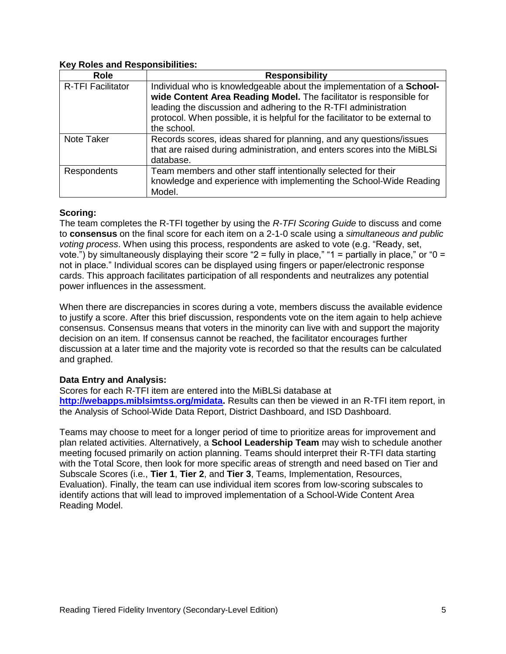## **Key Roles and Responsibilities:**

| <b>Role</b>              | <b>Responsibility</b>                                                        |
|--------------------------|------------------------------------------------------------------------------|
| <b>R-TFI Facilitator</b> | Individual who is knowledgeable about the implementation of a School-        |
|                          | wide Content Area Reading Model. The facilitator is responsible for          |
|                          | leading the discussion and adhering to the R-TFI administration              |
|                          | protocol. When possible, it is helpful for the facilitator to be external to |
|                          | the school.                                                                  |
| Note Taker               | Records scores, ideas shared for planning, and any questions/issues          |
|                          | that are raised during administration, and enters scores into the MiBLSi     |
|                          | database.                                                                    |
| <b>Respondents</b>       | Team members and other staff intentionally selected for their                |
|                          | knowledge and experience with implementing the School-Wide Reading           |
|                          | Model.                                                                       |

## **Scoring:**

The team completes the R-TFI together by using the *R-TFI Scoring Guide* to discuss and come to **consensus** on the final score for each item on a 2-1-0 scale using a *simultaneous and public voting process*. When using this process, respondents are asked to vote (e.g. "Ready, set, vote.") by simultaneously displaying their score "2 = fully in place," "1 = partially in place," or "0 = not in place." Individual scores can be displayed using fingers or paper/electronic response cards. This approach facilitates participation of all respondents and neutralizes any potential power influences in the assessment.

When there are discrepancies in scores during a vote, members discuss the available evidence to justify a score. After this brief discussion, respondents vote on the item again to help achieve consensus. Consensus means that voters in the minority can live with and support the majority decision on an item. If consensus cannot be reached, the facilitator encourages further discussion at a later time and the majority vote is recorded so that the results can be calculated and graphed.

## **Data Entry and Analysis:**

Scores for each R-TFI item are entered into the MiBLSi database at **[http://webapps.miblsimtss.org/midata.](http://webapps.miblsimtss.org/midata)** Results can then be viewed in an R-TFI item report, in the Analysis of School-Wide Data Report, District Dashboard, and ISD Dashboard.

Teams may choose to meet for a longer period of time to prioritize areas for improvement and plan related activities. Alternatively, a **School Leadership Team** may wish to schedule another meeting focused primarily on action planning. Teams should interpret their R-TFI data starting with the Total Score, then look for more specific areas of strength and need based on Tier and Subscale Scores (i.e., **Tier 1**, **Tier 2**, and **Tier 3**, Teams, Implementation, Resources, Evaluation). Finally, the team can use individual item scores from low-scoring subscales to identify actions that will lead to improved implementation of a School-Wide Content Area Reading Model.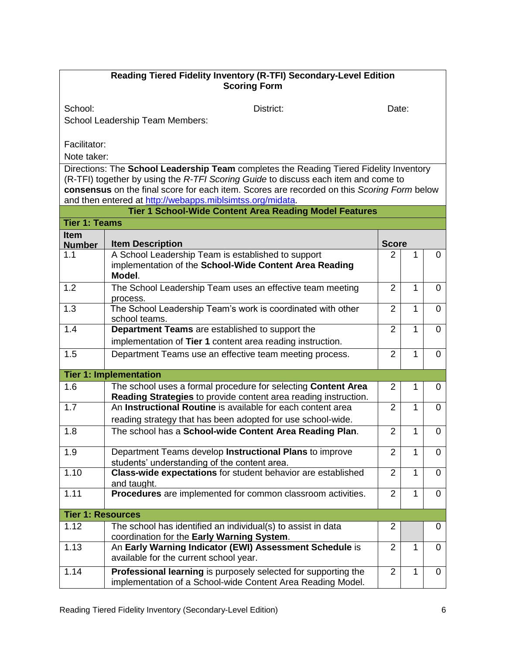## **Reading Tiered Fidelity Inventory (R-TFI) Secondary-Level Edition Scoring Form**

School: District: District: District: Date:

School Leadership Team Members:

Facilitator:

Note taker:

Directions: The **School Leadership Team** completes the Reading Tiered Fidelity Inventory (R-TFI) together by using the *R-TFI Scoring Guide* to discuss each item and come to **consensus** on the final score for each item. Scores are recorded on this *Scoring Form* below and then entered at [http://webapps.miblsimtss.org/midata.](http://webapps.miblsimtss.org/midata)

|                              | <b>Tier 1 School-Wide Content Area Reading Model Features</b>                                                                    |                |                |                |  |
|------------------------------|----------------------------------------------------------------------------------------------------------------------------------|----------------|----------------|----------------|--|
| <b>Tier 1: Teams</b>         |                                                                                                                                  |                |                |                |  |
| <b>Item</b><br><b>Number</b> | <b>Item Description</b>                                                                                                          | <b>Score</b>   |                |                |  |
| 1.1                          | A School Leadership Team is established to support<br>implementation of the School-Wide Content Area Reading<br>Model.           | 2              | 1              | $\mathbf 0$    |  |
| 1.2                          | The School Leadership Team uses an effective team meeting<br>process.                                                            | $\overline{2}$ | $\mathbf{1}$   | $\overline{0}$ |  |
| 1.3                          | The School Leadership Team's work is coordinated with other<br>school teams.                                                     | $\overline{2}$ | $\mathbf{1}$   | $\Omega$       |  |
| 1.4                          | Department Teams are established to support the<br>implementation of Tier 1 content area reading instruction.                    | $\overline{2}$ | 1              | $\Omega$       |  |
| 1.5                          | Department Teams use an effective team meeting process.                                                                          | $\overline{2}$ | $\overline{1}$ | $\overline{0}$ |  |
|                              | <b>Tier 1: Implementation</b>                                                                                                    |                |                |                |  |
| 1.6                          | The school uses a formal procedure for selecting Content Area<br>Reading Strategies to provide content area reading instruction. | 2              | 1              | 0              |  |
| 1.7                          | An Instructional Routine is available for each content area<br>reading strategy that has been adopted for use school-wide.       | $\overline{2}$ | 1              | $\overline{0}$ |  |
| 1.8                          | The school has a School-wide Content Area Reading Plan.                                                                          | $\overline{2}$ | 1              | $\overline{0}$ |  |
| 1.9                          | Department Teams develop Instructional Plans to improve<br>students' understanding of the content area.                          | $\overline{2}$ | 1              | $\Omega$       |  |
| 1.10                         | Class-wide expectations for student behavior are established<br>and taught.                                                      | $\overline{2}$ | $\mathbf{1}$   | $\Omega$       |  |
| 1.11                         | Procedures are implemented for common classroom activities.                                                                      | $\overline{2}$ | 1              | $\Omega$       |  |
| <b>Tier 1: Resources</b>     |                                                                                                                                  |                |                |                |  |
| 1.12                         | The school has identified an individual(s) to assist in data<br>coordination for the Early Warning System.                       | $\overline{2}$ |                | $\Omega$       |  |
| 1.13                         | An Early Warning Indicator (EWI) Assessment Schedule is<br>available for the current school year.                                | $\overline{2}$ | 1              | $\overline{0}$ |  |
| 1.14                         | Professional learning is purposely selected for supporting the<br>implementation of a School-wide Content Area Reading Model.    | $\overline{2}$ | 1              | $\overline{0}$ |  |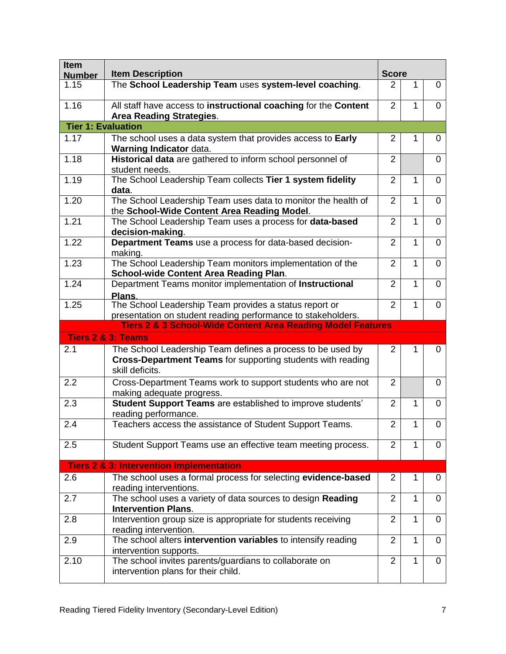| Item<br><b>Number</b>     | <b>Item Description</b>                                                                                                                             | <b>Score</b>   |   |                |
|---------------------------|-----------------------------------------------------------------------------------------------------------------------------------------------------|----------------|---|----------------|
| 1.15                      | The School Leadership Team uses system-level coaching.                                                                                              | 2              | 1 | 0              |
| 1.16                      | All staff have access to instructional coaching for the Content<br><b>Area Reading Strategies.</b>                                                  | $\overline{2}$ | 1 | $\Omega$       |
| <b>Tier 1: Evaluation</b> |                                                                                                                                                     |                |   |                |
| 1.17                      | The school uses a data system that provides access to Early<br>Warning Indicator data.                                                              | 2              | 1 | 0              |
| 1.18                      | Historical data are gathered to inform school personnel of<br>student needs.                                                                        | $\overline{2}$ |   | 0              |
| 1.19                      | The School Leadership Team collects Tier 1 system fidelity<br>data.                                                                                 | $\overline{2}$ | 1 | 0              |
| 1.20                      | The School Leadership Team uses data to monitor the health of<br>the School-Wide Content Area Reading Model.                                        | $\overline{2}$ | 1 | 0              |
| 1.21                      | The School Leadership Team uses a process for data-based<br>decision-making.                                                                        | $\overline{2}$ | 1 | $\overline{0}$ |
| 1.22                      | Department Teams use a process for data-based decision-<br>making.                                                                                  | $\overline{2}$ | 1 | 0              |
| 1.23                      | The School Leadership Team monitors implementation of the<br><b>School-wide Content Area Reading Plan.</b>                                          | $\overline{2}$ | 1 | $\Omega$       |
| 1.24                      | Department Teams monitor implementation of Instructional<br>Plans.                                                                                  | $\overline{2}$ | 1 | 0              |
| 1.25                      | The School Leadership Team provides a status report or<br>presentation on student reading performance to stakeholders.                              | $\overline{2}$ | 1 | 0              |
|                           | <b>Tiers 2 &amp; 3 School-Wide Content Area Reading Model Features</b>                                                                              |                |   |                |
|                           | <b>Tiers 2 &amp; 3: Teams</b>                                                                                                                       |                |   |                |
| 2.1                       | The School Leadership Team defines a process to be used by<br><b>Cross-Department Teams</b> for supporting students with reading<br>skill deficits. | $\overline{2}$ | 1 | 0              |
| 2.2                       | Cross-Department Teams work to support students who are not<br>making adequate progress.                                                            | $\overline{2}$ |   | 0              |
| 2.3                       | Student Support Teams are established to improve students'<br>reading performance.                                                                  | $\overline{2}$ | 1 | 0              |
| 2.4                       | Teachers access the assistance of Student Support Teams.                                                                                            | $\overline{2}$ | 1 | 0              |
| 2.5                       | Student Support Teams use an effective team meeting process.                                                                                        | $\overline{2}$ | 1 | 0              |
|                           | <b>Tiers 2 &amp; 3: Intervention Implementation</b>                                                                                                 |                |   |                |
| 2.6                       | The school uses a formal process for selecting evidence-based<br>reading interventions.                                                             | $\overline{2}$ | 1 | 0              |
| 2.7                       | The school uses a variety of data sources to design Reading<br><b>Intervention Plans.</b>                                                           | $\overline{2}$ | 1 | 0              |
| 2.8                       | Intervention group size is appropriate for students receiving<br>reading intervention.                                                              | $\overline{2}$ | 1 | 0              |
| 2.9                       | The school alters intervention variables to intensify reading<br>intervention supports.                                                             | $\overline{2}$ | 1 | 0              |
| 2.10                      | The school invites parents/guardians to collaborate on<br>intervention plans for their child.                                                       | $\overline{2}$ | 1 | 0              |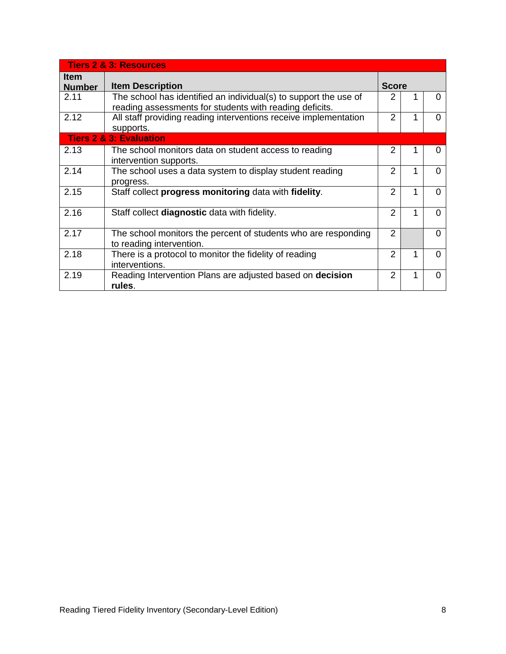|                              | <b>Tiers 2 &amp; 3: Resources</b>                                                                                           |                |   |   |
|------------------------------|-----------------------------------------------------------------------------------------------------------------------------|----------------|---|---|
| <b>Item</b><br><b>Number</b> | <b>Item Description</b>                                                                                                     | <b>Score</b>   |   |   |
| 2.11                         | The school has identified an individual(s) to support the use of<br>reading assessments for students with reading deficits. | 2              |   |   |
| 2.12                         | All staff providing reading interventions receive implementation<br>supports.                                               | $\mathcal{P}$  |   | U |
|                              | <b>Tiers 2 &amp; 3: Evaluation</b>                                                                                          |                |   |   |
| 2.13                         | The school monitors data on student access to reading<br>intervention supports.                                             | 2              |   |   |
| 2.14                         | The school uses a data system to display student reading<br>progress.                                                       | 2              |   | O |
| 2.15                         | Staff collect progress monitoring data with fidelity.                                                                       | 2              | 1 | U |
| 2.16                         | Staff collect diagnostic data with fidelity.                                                                                | 2              |   | U |
| 2.17                         | The school monitors the percent of students who are responding<br>to reading intervention.                                  | $\overline{2}$ |   | U |
| 2.18                         | There is a protocol to monitor the fidelity of reading<br>interventions.                                                    | 2              |   | O |
| 2.19                         | Reading Intervention Plans are adjusted based on decision<br>rules.                                                         | 2              |   | O |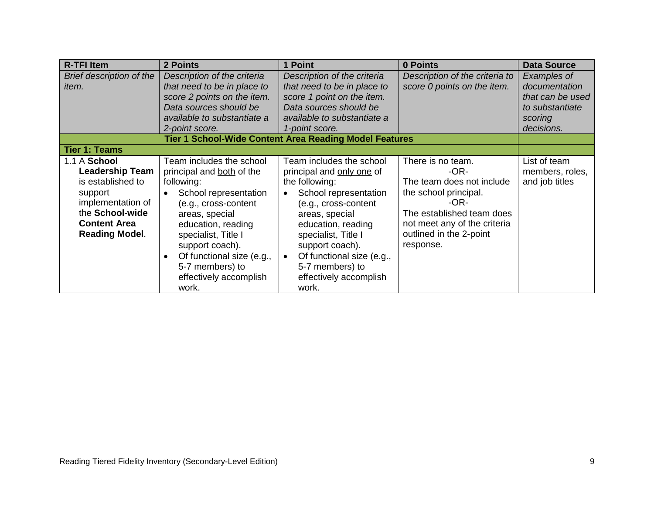| <b>R-TFI Item</b>                                                                                                                                              | 2 Points                                                                                                                                                                                                                                                                                  | 1 Point                                                                                                                                                                                                                                                                                       | 0 Points                                                                                                                                                                                       | <b>Data Source</b>                                                                           |
|----------------------------------------------------------------------------------------------------------------------------------------------------------------|-------------------------------------------------------------------------------------------------------------------------------------------------------------------------------------------------------------------------------------------------------------------------------------------|-----------------------------------------------------------------------------------------------------------------------------------------------------------------------------------------------------------------------------------------------------------------------------------------------|------------------------------------------------------------------------------------------------------------------------------------------------------------------------------------------------|----------------------------------------------------------------------------------------------|
| Brief description of the<br><i>item.</i>                                                                                                                       | Description of the criteria<br>that need to be in place to<br>score 2 points on the item.<br>Data sources should be<br>available to substantiate a<br>2-point score.                                                                                                                      | Description of the criteria<br>that need to be in place to<br>score 1 point on the item.<br>Data sources should be<br>available to substantiate a<br>1-point score.                                                                                                                           | Description of the criteria to<br>score 0 points on the item.                                                                                                                                  | Examples of<br>documentation<br>that can be used<br>to substantiate<br>scoring<br>decisions. |
|                                                                                                                                                                |                                                                                                                                                                                                                                                                                           | <b>Tier 1 School-Wide Content Area Reading Model Features</b>                                                                                                                                                                                                                                 |                                                                                                                                                                                                |                                                                                              |
| <b>Tier 1: Teams</b>                                                                                                                                           |                                                                                                                                                                                                                                                                                           |                                                                                                                                                                                                                                                                                               |                                                                                                                                                                                                |                                                                                              |
| 1.1 A School<br><b>Leadership Team</b><br>is established to<br>support<br>implementation of<br>the School-wide<br><b>Content Area</b><br><b>Reading Model.</b> | Team includes the school<br>principal and both of the<br>following:<br>School representation<br>(e.g., cross-content<br>areas, special<br>education, reading<br>specialist, Title I<br>support coach).<br>Of functional size (e.g.,<br>5-7 members) to<br>effectively accomplish<br>work. | Team includes the school<br>principal and only one of<br>the following:<br>School representation<br>(e.g., cross-content<br>areas, special<br>education, reading<br>specialist, Title I<br>support coach).<br>Of functional size (e.g.,<br>5-7 members) to<br>effectively accomplish<br>work. | There is no team.<br>$-OR-$<br>The team does not include<br>the school principal.<br>-OR-<br>The established team does<br>not meet any of the criteria<br>outlined in the 2-point<br>response. | List of team<br>members, roles,<br>and job titles                                            |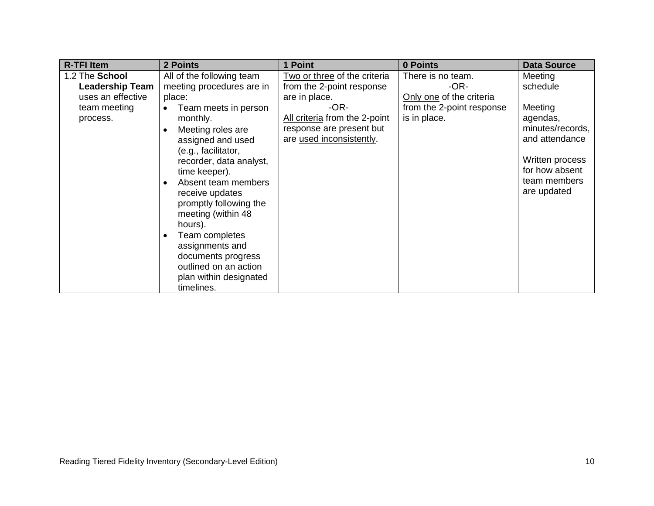| <b>R-TFI Item</b>      | 2 Points                  | 1 Point                       | 0 Points                  | <b>Data Source</b> |
|------------------------|---------------------------|-------------------------------|---------------------------|--------------------|
| 1.2 The School         | All of the following team | Two or three of the criteria  | There is no team.         | Meeting            |
| <b>Leadership Team</b> | meeting procedures are in | from the 2-point response     | -OR-                      | schedule           |
| uses an effective      | place:                    | are in place.                 | Only one of the criteria  |                    |
| team meeting           | Team meets in person      | -OR-                          | from the 2-point response | Meeting            |
| process.               | monthly.                  | All criteria from the 2-point | is in place.              | agendas,           |
|                        | Meeting roles are         | response are present but      |                           | minutes/records,   |
|                        | assigned and used         | are used inconsistently.      |                           | and attendance     |
|                        | (e.g., facilitator,       |                               |                           |                    |
|                        | recorder, data analyst,   |                               |                           | Written process    |
|                        | time keeper).             |                               |                           | for how absent     |
|                        | Absent team members       |                               |                           | team members       |
|                        | receive updates           |                               |                           | are updated        |
|                        | promptly following the    |                               |                           |                    |
|                        | meeting (within 48        |                               |                           |                    |
|                        | hours).                   |                               |                           |                    |
|                        | Team completes            |                               |                           |                    |
|                        | assignments and           |                               |                           |                    |
|                        | documents progress        |                               |                           |                    |
|                        | outlined on an action     |                               |                           |                    |
|                        | plan within designated    |                               |                           |                    |
|                        | timelines.                |                               |                           |                    |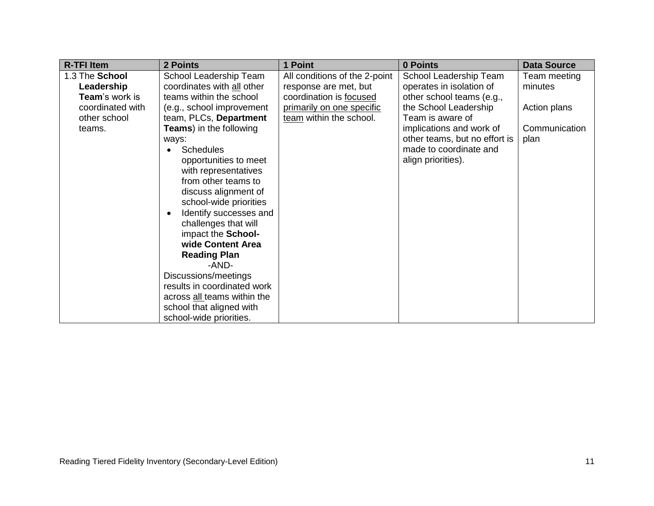| <b>R-TFI Item</b> | 2 Points                            | 1 Point                       | 0 Points                      | <b>Data Source</b> |
|-------------------|-------------------------------------|-------------------------------|-------------------------------|--------------------|
| 1.3 The School    | School Leadership Team              | All conditions of the 2-point | School Leadership Team        | Team meeting       |
| Leadership        | coordinates with all other          | response are met, but         | operates in isolation of      | minutes            |
| Team's work is    | teams within the school             | coordination is focused       | other school teams (e.g.,     |                    |
| coordinated with  | (e.g., school improvement           | primarily on one specific     | the School Leadership         | Action plans       |
| other school      | team, PLCs, Department              | team within the school.       | Team is aware of              |                    |
| teams.            | <b>Teams</b> ) in the following     |                               | implications and work of      | Communication      |
|                   | ways:                               |                               | other teams, but no effort is | plan               |
|                   | <b>Schedules</b>                    |                               | made to coordinate and        |                    |
|                   | opportunities to meet               |                               | align priorities).            |                    |
|                   | with representatives                |                               |                               |                    |
|                   | from other teams to                 |                               |                               |                    |
|                   | discuss alignment of                |                               |                               |                    |
|                   | school-wide priorities              |                               |                               |                    |
|                   | Identify successes and<br>$\bullet$ |                               |                               |                    |
|                   | challenges that will                |                               |                               |                    |
|                   | impact the School-                  |                               |                               |                    |
|                   | wide Content Area                   |                               |                               |                    |
|                   | <b>Reading Plan</b>                 |                               |                               |                    |
|                   | -AND-                               |                               |                               |                    |
|                   | Discussions/meetings                |                               |                               |                    |
|                   | results in coordinated work         |                               |                               |                    |
|                   | across all teams within the         |                               |                               |                    |
|                   | school that aligned with            |                               |                               |                    |
|                   | school-wide priorities.             |                               |                               |                    |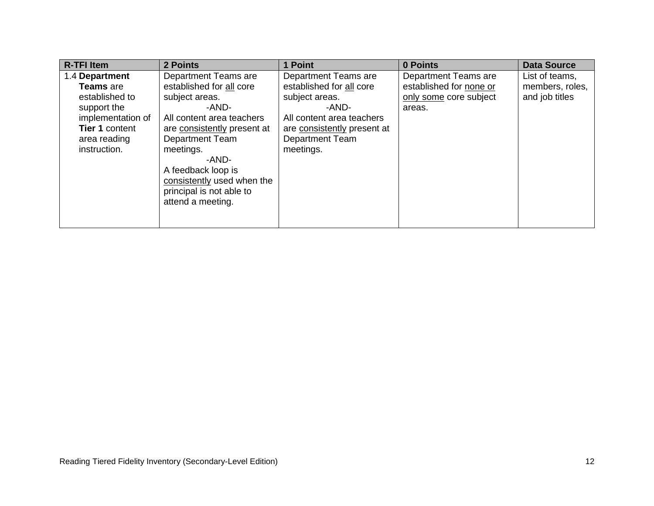| <b>R-TFI Item</b>     | 2 Points                    | 1 Point                     | 0 Points                | <b>Data Source</b> |
|-----------------------|-----------------------------|-----------------------------|-------------------------|--------------------|
| 1.4 Department        | Department Teams are        | Department Teams are        | Department Teams are    | List of teams,     |
| <b>Teams</b> are      | established for all core    | established for all core    | established for none or | members, roles,    |
| established to        | subject areas.              | subject areas.              | only some core subject  | and job titles     |
| support the           | -AND-                       | -AND-                       | areas.                  |                    |
| implementation of     | All content area teachers   | All content area teachers   |                         |                    |
| <b>Tier 1 content</b> | are consistently present at | are consistently present at |                         |                    |
| area reading          | <b>Department Team</b>      | <b>Department Team</b>      |                         |                    |
| instruction.          | meetings.                   | meetings.                   |                         |                    |
|                       | -AND-                       |                             |                         |                    |
|                       | A feedback loop is          |                             |                         |                    |
|                       | consistently used when the  |                             |                         |                    |
|                       | principal is not able to    |                             |                         |                    |
|                       | attend a meeting.           |                             |                         |                    |
|                       |                             |                             |                         |                    |
|                       |                             |                             |                         |                    |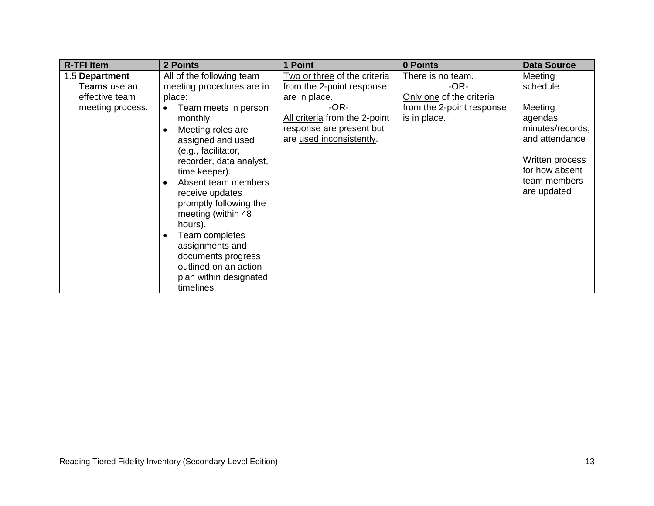| <b>R-TFI Item</b> | 2 Points                  | 1 Point                       | 0 Points                  | <b>Data Source</b> |
|-------------------|---------------------------|-------------------------------|---------------------------|--------------------|
| 1.5 Department    | All of the following team | Two or three of the criteria  | There is no team.         | Meeting            |
| Teams use an      | meeting procedures are in | from the 2-point response     | -OR-                      | schedule           |
| effective team    | place:                    | are in place.                 | Only one of the criteria  |                    |
| meeting process.  | Team meets in person      | -OR-                          | from the 2-point response | Meeting            |
|                   | monthly.                  | All criteria from the 2-point | is in place.              | agendas,           |
|                   | Meeting roles are         | response are present but      |                           | minutes/records,   |
|                   | assigned and used         | are used inconsistently.      |                           | and attendance     |
|                   | (e.g., facilitator,       |                               |                           |                    |
|                   | recorder, data analyst,   |                               |                           | Written process    |
|                   | time keeper).             |                               |                           | for how absent     |
|                   | Absent team members       |                               |                           | team members       |
|                   | receive updates           |                               |                           | are updated        |
|                   | promptly following the    |                               |                           |                    |
|                   | meeting (within 48        |                               |                           |                    |
|                   | hours).                   |                               |                           |                    |
|                   | Team completes            |                               |                           |                    |
|                   | assignments and           |                               |                           |                    |
|                   | documents progress        |                               |                           |                    |
|                   | outlined on an action     |                               |                           |                    |
|                   | plan within designated    |                               |                           |                    |
|                   | timelines.                |                               |                           |                    |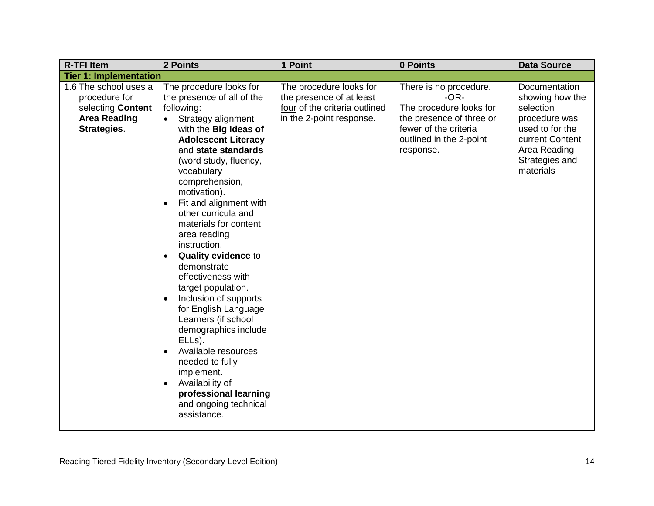| <b>R-TFI Item</b>             | 2 Points                               | 1 Point                       | 0 Points                 | <b>Data Source</b>          |
|-------------------------------|----------------------------------------|-------------------------------|--------------------------|-----------------------------|
| <b>Tier 1: Implementation</b> |                                        |                               |                          |                             |
| 1.6 The school uses a         | The procedure looks for                | The procedure looks for       | There is no procedure.   | Documentation               |
| procedure for                 | the presence of all of the             | the presence of at least      | $-OR-$                   | showing how the             |
| selecting Content             | following:                             | four of the criteria outlined | The procedure looks for  | selection                   |
| <b>Area Reading</b>           | Strategy alignment<br>$\bullet$        | in the 2-point response.      | the presence of three or | procedure was               |
| Strategies.                   | with the Big Ideas of                  |                               | fewer of the criteria    | used to for the             |
|                               | <b>Adolescent Literacy</b>             |                               | outlined in the 2-point  | current Content             |
|                               | and state standards                    |                               | response.                | Area Reading                |
|                               | (word study, fluency,                  |                               |                          | Strategies and<br>materials |
|                               | vocabulary<br>comprehension,           |                               |                          |                             |
|                               | motivation).                           |                               |                          |                             |
|                               | Fit and alignment with<br>$\bullet$    |                               |                          |                             |
|                               | other curricula and                    |                               |                          |                             |
|                               | materials for content                  |                               |                          |                             |
|                               | area reading                           |                               |                          |                             |
|                               | instruction.                           |                               |                          |                             |
|                               | <b>Quality evidence to</b>             |                               |                          |                             |
|                               | demonstrate                            |                               |                          |                             |
|                               | effectiveness with                     |                               |                          |                             |
|                               | target population.                     |                               |                          |                             |
|                               | Inclusion of supports<br>$\bullet$     |                               |                          |                             |
|                               | for English Language                   |                               |                          |                             |
|                               | Learners (if school                    |                               |                          |                             |
|                               | demographics include                   |                               |                          |                             |
|                               | ELL <sub>s</sub> ).                    |                               |                          |                             |
|                               | Available resources<br>needed to fully |                               |                          |                             |
|                               | implement.                             |                               |                          |                             |
|                               | Availability of<br>$\bullet$           |                               |                          |                             |
|                               | professional learning                  |                               |                          |                             |
|                               | and ongoing technical                  |                               |                          |                             |
|                               | assistance.                            |                               |                          |                             |
|                               |                                        |                               |                          |                             |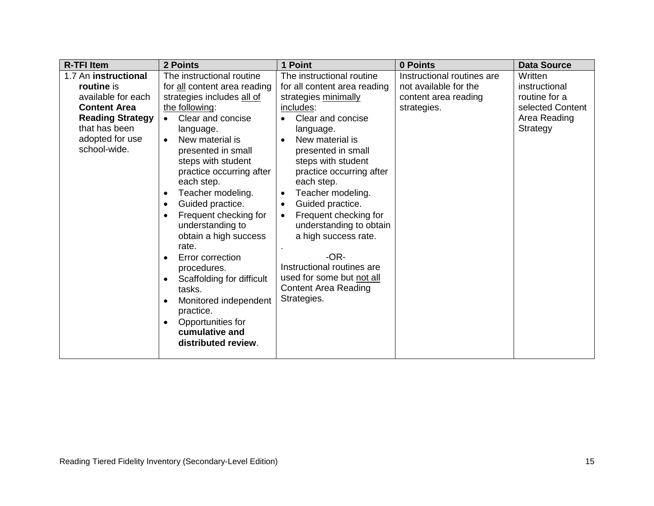| <b>R-TFI Item</b><br><b>2 Points</b>                                                                                                                                                                                                                    |                                                                                                                                                                                                                                                                                                                                                                                                                                                                                                                       | 1 Point                                                                                                                                                                                                                                                                                                                                                                                                                                                                                                     | 0 Points                                                                                   | <b>Data Source</b>                                                                        |
|---------------------------------------------------------------------------------------------------------------------------------------------------------------------------------------------------------------------------------------------------------|-----------------------------------------------------------------------------------------------------------------------------------------------------------------------------------------------------------------------------------------------------------------------------------------------------------------------------------------------------------------------------------------------------------------------------------------------------------------------------------------------------------------------|-------------------------------------------------------------------------------------------------------------------------------------------------------------------------------------------------------------------------------------------------------------------------------------------------------------------------------------------------------------------------------------------------------------------------------------------------------------------------------------------------------------|--------------------------------------------------------------------------------------------|-------------------------------------------------------------------------------------------|
| 1.7 An instructional<br>routine is<br>available for each<br><b>Content Area</b><br>the following:<br><b>Reading Strategy</b><br>$\bullet$<br>that has been<br>adopted for use<br>$\bullet$<br>school-wide.<br>$\bullet$<br>$\bullet$<br>rate.<br>tasks. | The instructional routine<br>for all content area reading<br>strategies includes all of<br>Clear and concise<br>language.<br>New material is<br>presented in small<br>steps with student<br>practice occurring after<br>each step.<br>Teacher modeling.<br>Guided practice.<br>Frequent checking for<br>understanding to<br>obtain a high success<br>Error correction<br>procedures.<br>Scaffolding for difficult<br>Monitored independent<br>practice.<br>Opportunities for<br>cumulative and<br>distributed review. | The instructional routine<br>for all content area reading<br>strategies minimally<br>includes:<br>Clear and concise<br>language.<br>New material is<br>presented in small<br>steps with student<br>practice occurring after<br>each step.<br>Teacher modeling.<br>$\bullet$<br>Guided practice.<br>$\bullet$<br>Frequent checking for<br>understanding to obtain<br>a high success rate.<br>$-OR-$<br>Instructional routines are<br>used for some but not all<br><b>Content Area Reading</b><br>Strategies. | Instructional routines are<br>not available for the<br>content area reading<br>strategies. | Written<br>instructional<br>routine for a<br>selected Content<br>Area Reading<br>Strategy |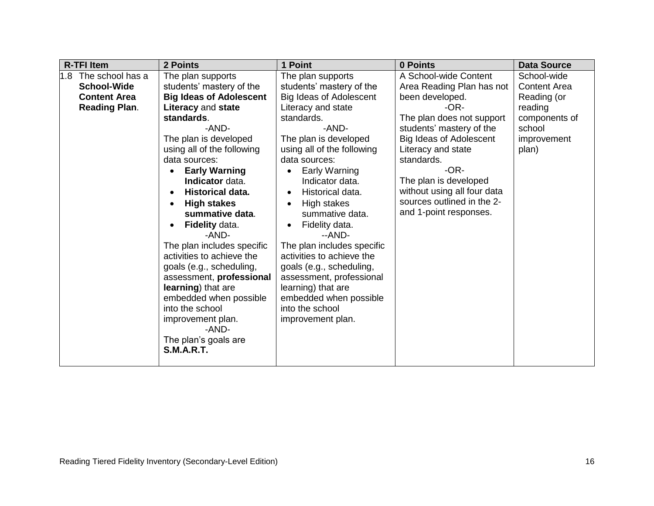| <b>R-TFI Item</b>                                                                            | <b>2 Points</b>                                                                                                                                                                                                                                                                                                                                                                                                                                                                                                                                                                                          | 1 Point                                                                                                                                                                                                                                                                                                                                                                                                                                                                                                                                     | 0 Points                                                                                                                                                                                                                                                                                                                        | <b>Data Source</b>                                                                                              |
|----------------------------------------------------------------------------------------------|----------------------------------------------------------------------------------------------------------------------------------------------------------------------------------------------------------------------------------------------------------------------------------------------------------------------------------------------------------------------------------------------------------------------------------------------------------------------------------------------------------------------------------------------------------------------------------------------------------|---------------------------------------------------------------------------------------------------------------------------------------------------------------------------------------------------------------------------------------------------------------------------------------------------------------------------------------------------------------------------------------------------------------------------------------------------------------------------------------------------------------------------------------------|---------------------------------------------------------------------------------------------------------------------------------------------------------------------------------------------------------------------------------------------------------------------------------------------------------------------------------|-----------------------------------------------------------------------------------------------------------------|
| The school has a<br>1.8<br><b>School-Wide</b><br><b>Content Area</b><br><b>Reading Plan.</b> | The plan supports<br>students' mastery of the<br><b>Big Ideas of Adolescent</b><br>Literacy and state<br>standards.<br>-AND-<br>The plan is developed<br>using all of the following<br>data sources:<br><b>Early Warning</b><br>Indicator data.<br>Historical data.<br><b>High stakes</b><br>summative data.<br>Fidelity data.<br>-AND-<br>The plan includes specific<br>activities to achieve the<br>goals (e.g., scheduling,<br>assessment, professional<br>learning) that are<br>embedded when possible<br>into the school<br>improvement plan.<br>-AND-<br>The plan's goals are<br><b>S.M.A.R.T.</b> | The plan supports<br>students' mastery of the<br>Big Ideas of Adolescent<br>Literacy and state<br>standards.<br>-AND-<br>The plan is developed<br>using all of the following<br>data sources:<br>Early Warning<br>Indicator data.<br>Historical data.<br>$\bullet$<br>High stakes<br>summative data.<br>Fidelity data.<br>--AND-<br>The plan includes specific<br>activities to achieve the<br>goals (e.g., scheduling,<br>assessment, professional<br>learning) that are<br>embedded when possible<br>into the school<br>improvement plan. | A School-wide Content<br>Area Reading Plan has not<br>been developed.<br>$-OR-$<br>The plan does not support<br>students' mastery of the<br>Big Ideas of Adolescent<br>Literacy and state<br>standards.<br>-OR-<br>The plan is developed<br>without using all four data<br>sources outlined in the 2-<br>and 1-point responses. | School-wide<br><b>Content Area</b><br>Reading (or<br>reading<br>components of<br>school<br>improvement<br>plan) |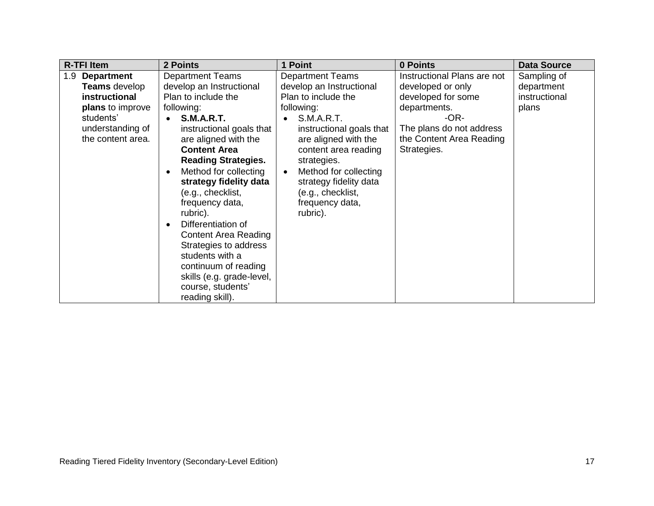| <b>R-TFI Item</b>                                                                                                                           | 2 Points                                                                                                                                                                                                                                                                                                                                                                                                                                                                                                                                                           | 1 Point                                                                                                                                                                                                                                                                                                                      | 0 Points                                                                                                                                                              | <b>Data Source</b>                                  |
|---------------------------------------------------------------------------------------------------------------------------------------------|--------------------------------------------------------------------------------------------------------------------------------------------------------------------------------------------------------------------------------------------------------------------------------------------------------------------------------------------------------------------------------------------------------------------------------------------------------------------------------------------------------------------------------------------------------------------|------------------------------------------------------------------------------------------------------------------------------------------------------------------------------------------------------------------------------------------------------------------------------------------------------------------------------|-----------------------------------------------------------------------------------------------------------------------------------------------------------------------|-----------------------------------------------------|
| <b>Department</b><br>1.9<br><b>Teams</b> develop<br>instructional<br>plans to improve<br>students'<br>understanding of<br>the content area. | <b>Department Teams</b><br>develop an Instructional<br>Plan to include the<br>following:<br><b>S.M.A.R.T.</b><br>$\bullet$<br>instructional goals that<br>are aligned with the<br><b>Content Area</b><br><b>Reading Strategies.</b><br>Method for collecting<br>$\bullet$<br>strategy fidelity data<br>(e.g., checklist,<br>frequency data,<br>rubric).<br>Differentiation of<br>$\bullet$<br><b>Content Area Reading</b><br>Strategies to address<br>students with a<br>continuum of reading<br>skills (e.g. grade-level,<br>course, students'<br>reading skill). | <b>Department Teams</b><br>develop an Instructional<br>Plan to include the<br>following:<br><b>S.M.A.R.T.</b><br>instructional goals that<br>are aligned with the<br>content area reading<br>strategies.<br>Method for collecting<br>$\bullet$<br>strategy fidelity data<br>(e.g., checklist,<br>frequency data,<br>rubric). | Instructional Plans are not<br>developed or only<br>developed for some<br>departments.<br>-OR-<br>The plans do not address<br>the Content Area Reading<br>Strategies. | Sampling of<br>department<br>instructional<br>plans |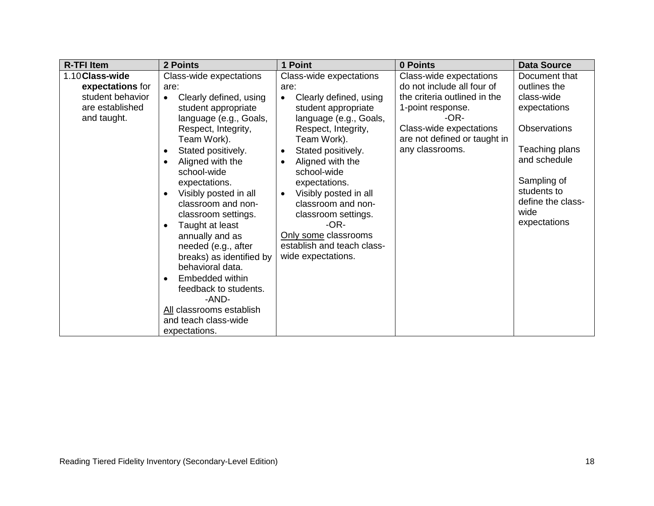| <b>R-TFI Item</b>                                                                         | 2 Points                                                                                                                                                                                                                                                                                                                                                                                                                                                                                                                                                                       | 1 Point                                                                                                                                                                                                                                                                                                                                                                                                                                  | 0 Points                                                                                                                                                                                           | <b>Data Source</b>                                                                                                                                                                              |
|-------------------------------------------------------------------------------------------|--------------------------------------------------------------------------------------------------------------------------------------------------------------------------------------------------------------------------------------------------------------------------------------------------------------------------------------------------------------------------------------------------------------------------------------------------------------------------------------------------------------------------------------------------------------------------------|------------------------------------------------------------------------------------------------------------------------------------------------------------------------------------------------------------------------------------------------------------------------------------------------------------------------------------------------------------------------------------------------------------------------------------------|----------------------------------------------------------------------------------------------------------------------------------------------------------------------------------------------------|-------------------------------------------------------------------------------------------------------------------------------------------------------------------------------------------------|
| 1.10 Class-wide<br>expectations for<br>student behavior<br>are established<br>and taught. | Class-wide expectations<br>are:<br>Clearly defined, using<br>$\bullet$<br>student appropriate<br>language (e.g., Goals,<br>Respect, Integrity,<br>Team Work).<br>Stated positively.<br>$\bullet$<br>Aligned with the<br>school-wide<br>expectations.<br>Visibly posted in all<br>classroom and non-<br>classroom settings.<br>Taught at least<br>$\bullet$<br>annually and as<br>needed (e.g., after<br>breaks) as identified by<br>behavioral data.<br>Embedded within<br>feedback to students.<br>-AND-<br>All classrooms establish<br>and teach class-wide<br>expectations. | Class-wide expectations<br>are:<br>Clearly defined, using<br>$\bullet$<br>student appropriate<br>language (e.g., Goals,<br>Respect, Integrity,<br>Team Work).<br>Stated positively.<br>$\bullet$<br>Aligned with the<br>$\bullet$<br>school-wide<br>expectations.<br>Visibly posted in all<br>$\bullet$<br>classroom and non-<br>classroom settings.<br>-OR-<br>Only some classrooms<br>establish and teach class-<br>wide expectations. | Class-wide expectations<br>do not include all four of<br>the criteria outlined in the<br>1-point response.<br>$-OR-$<br>Class-wide expectations<br>are not defined or taught in<br>any classrooms. | Document that<br>outlines the<br>class-wide<br>expectations<br><b>Observations</b><br>Teaching plans<br>and schedule<br>Sampling of<br>students to<br>define the class-<br>wide<br>expectations |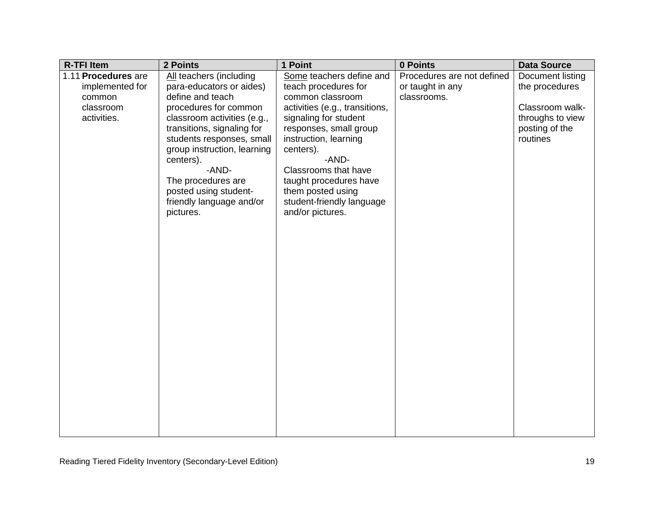| <b>R-TFI Item</b>   | 2 Points                                                 | 1 Point                            | 0 Points                   | <b>Data Source</b>         |
|---------------------|----------------------------------------------------------|------------------------------------|----------------------------|----------------------------|
| 1.11 Procedures are | All teachers (including                                  | Some teachers define and           | Procedures are not defined | Document listing           |
| implemented for     | para-educators or aides)                                 | teach procedures for               | or taught in any           | the procedures             |
| common              | define and teach                                         | common classroom                   | classrooms.                |                            |
| classroom           | procedures for common                                    | activities (e.g., transitions,     |                            | Classroom walk-            |
| activities.         | classroom activities (e.g.,                              | signaling for student              |                            | throughs to view           |
|                     | transitions, signaling for                               | responses, small group             |                            | posting of the<br>routines |
|                     | students responses, small<br>group instruction, learning | instruction, learning<br>centers). |                            |                            |
|                     | centers).                                                | -AND-                              |                            |                            |
|                     | -AND-                                                    | Classrooms that have               |                            |                            |
|                     | The procedures are                                       | taught procedures have             |                            |                            |
|                     | posted using student-                                    | them posted using                  |                            |                            |
|                     | friendly language and/or                                 | student-friendly language          |                            |                            |
|                     | pictures.                                                | and/or pictures.                   |                            |                            |
|                     |                                                          |                                    |                            |                            |
|                     |                                                          |                                    |                            |                            |
|                     |                                                          |                                    |                            |                            |
|                     |                                                          |                                    |                            |                            |
|                     |                                                          |                                    |                            |                            |
|                     |                                                          |                                    |                            |                            |
|                     |                                                          |                                    |                            |                            |
|                     |                                                          |                                    |                            |                            |
|                     |                                                          |                                    |                            |                            |
|                     |                                                          |                                    |                            |                            |
|                     |                                                          |                                    |                            |                            |
|                     |                                                          |                                    |                            |                            |
|                     |                                                          |                                    |                            |                            |
|                     |                                                          |                                    |                            |                            |
|                     |                                                          |                                    |                            |                            |
|                     |                                                          |                                    |                            |                            |
|                     |                                                          |                                    |                            |                            |
|                     |                                                          |                                    |                            |                            |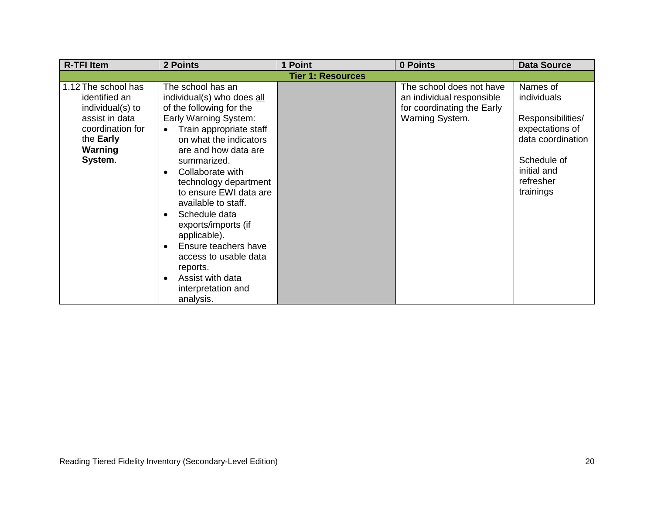| <b>R-TFI Item</b>                                                                                                                 | 2 Points                                                                                                                                                                                                                                                                                                                                                                                                                                                                                | 1 Point                  | 0 Points                                                                                               | <b>Data Source</b>                                                                                                                           |
|-----------------------------------------------------------------------------------------------------------------------------------|-----------------------------------------------------------------------------------------------------------------------------------------------------------------------------------------------------------------------------------------------------------------------------------------------------------------------------------------------------------------------------------------------------------------------------------------------------------------------------------------|--------------------------|--------------------------------------------------------------------------------------------------------|----------------------------------------------------------------------------------------------------------------------------------------------|
|                                                                                                                                   |                                                                                                                                                                                                                                                                                                                                                                                                                                                                                         | <b>Tier 1: Resources</b> |                                                                                                        |                                                                                                                                              |
| 1.12 The school has<br>identified an<br>individual(s) to<br>assist in data<br>coordination for<br>the Early<br>Warning<br>System. | The school has an<br>individual(s) who does all<br>of the following for the<br>Early Warning System:<br>Train appropriate staff<br>$\bullet$<br>on what the indicators<br>are and how data are<br>summarized.<br>Collaborate with<br>technology department<br>to ensure EWI data are<br>available to staff.<br>Schedule data<br>exports/imports (if<br>applicable).<br>Ensure teachers have<br>access to usable data<br>reports.<br>Assist with data<br>interpretation and<br>analysis. |                          | The school does not have<br>an individual responsible<br>for coordinating the Early<br>Warning System. | Names of<br>individuals<br>Responsibilities/<br>expectations of<br>data coordination<br>Schedule of<br>initial and<br>refresher<br>trainings |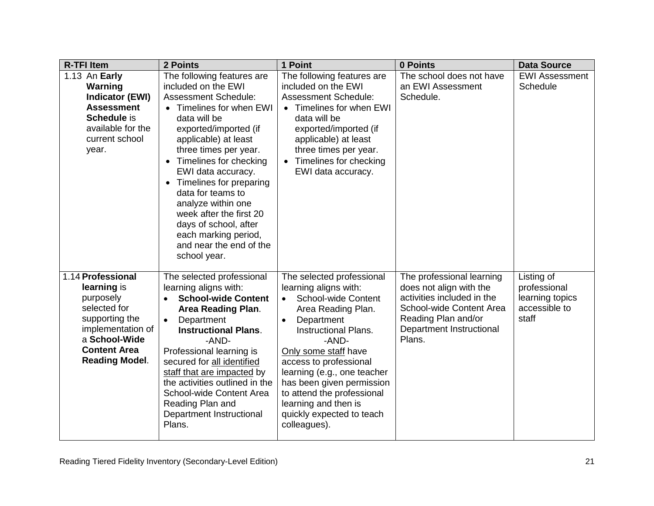| <b>R-TFI Item</b>                                                                                                                                                     | 2 Points                                                                                                                                                                                                                                                                                                                                                                                                                                                                      | 1 Point                                                                                                                                                                                                                                                                                                                                                                       | 0 Points                                                                                                                                                                    | <b>Data Source</b>                                                      |
|-----------------------------------------------------------------------------------------------------------------------------------------------------------------------|-------------------------------------------------------------------------------------------------------------------------------------------------------------------------------------------------------------------------------------------------------------------------------------------------------------------------------------------------------------------------------------------------------------------------------------------------------------------------------|-------------------------------------------------------------------------------------------------------------------------------------------------------------------------------------------------------------------------------------------------------------------------------------------------------------------------------------------------------------------------------|-----------------------------------------------------------------------------------------------------------------------------------------------------------------------------|-------------------------------------------------------------------------|
| 1.13 An Early<br>Warning<br><b>Indicator (EWI)</b><br><b>Assessment</b><br>Schedule is<br>available for the<br>current school<br>year.                                | The following features are<br>included on the EWI<br><b>Assessment Schedule:</b><br>• Timelines for when EWI<br>data will be<br>exported/imported (if<br>applicable) at least<br>three times per year.<br>Timelines for checking<br>$\bullet$<br>EWI data accuracy.<br>Timelines for preparing<br>$\bullet$<br>data for teams to<br>analyze within one<br>week after the first 20<br>days of school, after<br>each marking period,<br>and near the end of the<br>school year. | The following features are<br>included on the EWI<br><b>Assessment Schedule:</b><br>• Timelines for when EWI<br>data will be<br>exported/imported (if<br>applicable) at least<br>three times per year.<br>Timelines for checking<br>EWI data accuracy.                                                                                                                        | The school does not have<br>an EWI Assessment<br>Schedule.                                                                                                                  | <b>EWI Assessment</b><br>Schedule                                       |
| 1.14 Professional<br>learning is<br>purposely<br>selected for<br>supporting the<br>implementation of<br>a School-Wide<br><b>Content Area</b><br><b>Reading Model.</b> | The selected professional<br>learning aligns with:<br><b>School-wide Content</b><br>Area Reading Plan.<br>Department<br>$\bullet$<br><b>Instructional Plans.</b><br>-AND-<br>Professional learning is<br>secured for all identified<br>staff that are impacted by<br>the activities outlined in the<br>School-wide Content Area<br>Reading Plan and<br>Department Instructional<br>Plans.                                                                                     | The selected professional<br>learning aligns with:<br><b>School-wide Content</b><br>Area Reading Plan.<br>Department<br><b>Instructional Plans.</b><br>-AND-<br>Only some staff have<br>access to professional<br>learning (e.g., one teacher<br>has been given permission<br>to attend the professional<br>learning and then is<br>quickly expected to teach<br>colleagues). | The professional learning<br>does not align with the<br>activities included in the<br>School-wide Content Area<br>Reading Plan and/or<br>Department Instructional<br>Plans. | Listing of<br>professional<br>learning topics<br>accessible to<br>staff |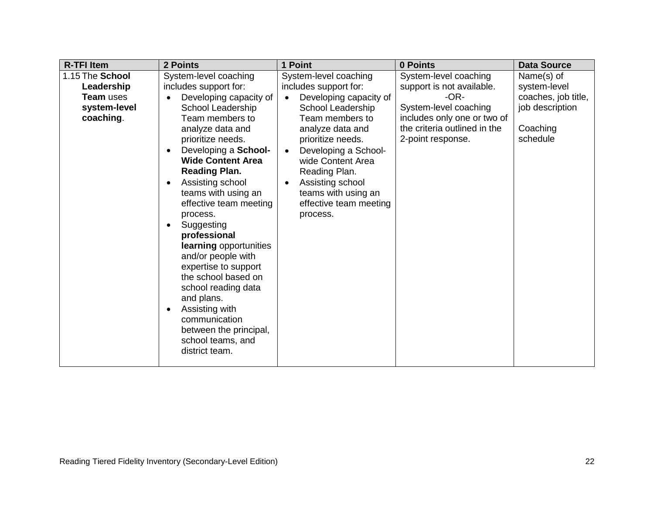| <b>R-TFI Item</b>                                                       | 2 Points                                                                                                                                                                                                                                                                                                                                                                                                                                                                                                                                                       | 1 Point                                                                                                                                                                                                                                                                                                  | 0 Points                                                                                                                                                                  | <b>Data Source</b>                                                                           |
|-------------------------------------------------------------------------|----------------------------------------------------------------------------------------------------------------------------------------------------------------------------------------------------------------------------------------------------------------------------------------------------------------------------------------------------------------------------------------------------------------------------------------------------------------------------------------------------------------------------------------------------------------|----------------------------------------------------------------------------------------------------------------------------------------------------------------------------------------------------------------------------------------------------------------------------------------------------------|---------------------------------------------------------------------------------------------------------------------------------------------------------------------------|----------------------------------------------------------------------------------------------|
| 1.15 The School<br>Leadership<br>Team uses<br>system-level<br>coaching. | System-level coaching<br>includes support for:<br>Developing capacity of<br>School Leadership<br>Team members to<br>analyze data and<br>prioritize needs.<br>Developing a School-<br>$\bullet$<br><b>Wide Content Area</b><br><b>Reading Plan.</b><br>Assisting school<br>$\bullet$<br>teams with using an<br>effective team meeting<br>process.<br>Suggesting<br>$\bullet$<br>professional<br>learning opportunities<br>and/or people with<br>expertise to support<br>the school based on<br>school reading data<br>and plans.<br>Assisting with<br>$\bullet$ | System-level coaching<br>includes support for:<br>Developing capacity of<br>School Leadership<br>Team members to<br>analyze data and<br>prioritize needs.<br>Developing a School-<br>wide Content Area<br>Reading Plan.<br>Assisting school<br>teams with using an<br>effective team meeting<br>process. | System-level coaching<br>support is not available.<br>$-OR-$<br>System-level coaching<br>includes only one or two of<br>the criteria outlined in the<br>2-point response. | Name(s) of<br>system-level<br>coaches, job title,<br>job description<br>Coaching<br>schedule |
|                                                                         | communication<br>between the principal,<br>school teams, and<br>district team.                                                                                                                                                                                                                                                                                                                                                                                                                                                                                 |                                                                                                                                                                                                                                                                                                          |                                                                                                                                                                           |                                                                                              |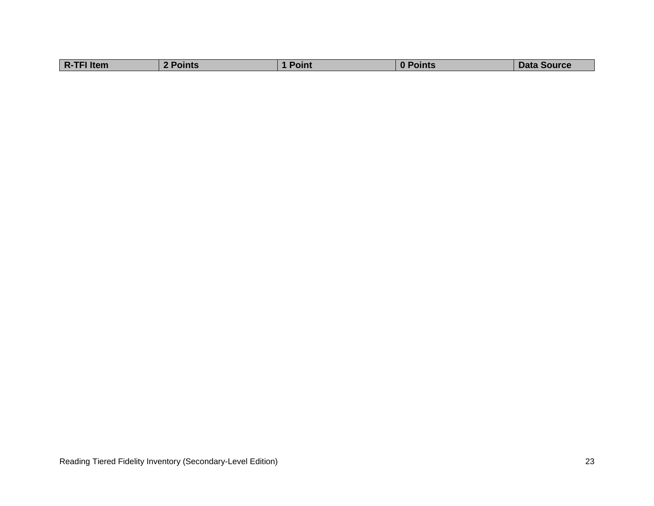| <b>Data Source</b><br>™шт |            |        |       |  |
|---------------------------|------------|--------|-------|--|
|                           | R-TFI Item | Points | Point |  |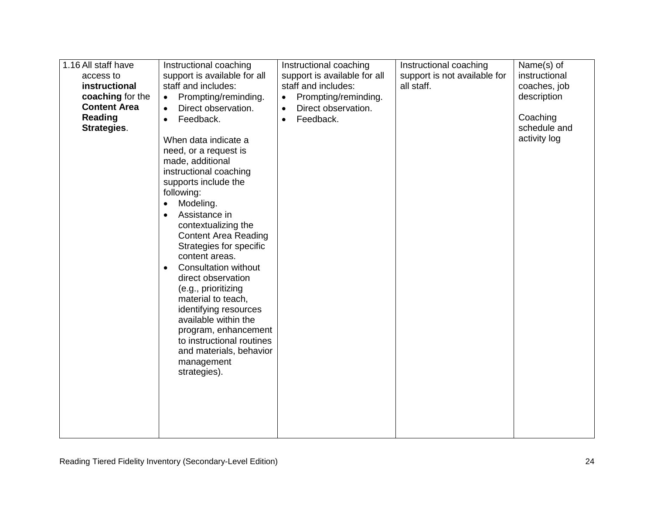| 1.16 All staff have<br>access to<br>instructional<br>coaching for the<br><b>Content Area</b><br><b>Reading</b><br>Strategies. | Instructional coaching<br>support is available for all<br>staff and includes:<br>Prompting/reminding.<br>$\bullet$<br>Direct observation.<br>$\bullet$<br>Feedback.<br>$\bullet$<br>When data indicate a<br>need, or a request is<br>made, additional<br>instructional coaching<br>supports include the<br>following:<br>Modeling.<br>$\bullet$<br>Assistance in<br>contextualizing the<br><b>Content Area Reading</b><br>Strategies for specific<br>content areas.<br><b>Consultation without</b><br>$\bullet$<br>direct observation<br>(e.g., prioritizing<br>material to teach,<br>identifying resources<br>available within the<br>program, enhancement<br>to instructional routines<br>and materials, behavior<br>management<br>strategies). | Instructional coaching<br>support is available for all<br>staff and includes:<br>Prompting/reminding.<br>$\bullet$<br>Direct observation.<br>$\bullet$<br>Feedback.<br>$\bullet$ | Instructional coaching<br>support is not available for<br>all staff. | Name(s) of<br>instructional<br>coaches, job<br>description<br>Coaching<br>schedule and<br>activity log |
|-------------------------------------------------------------------------------------------------------------------------------|---------------------------------------------------------------------------------------------------------------------------------------------------------------------------------------------------------------------------------------------------------------------------------------------------------------------------------------------------------------------------------------------------------------------------------------------------------------------------------------------------------------------------------------------------------------------------------------------------------------------------------------------------------------------------------------------------------------------------------------------------|----------------------------------------------------------------------------------------------------------------------------------------------------------------------------------|----------------------------------------------------------------------|--------------------------------------------------------------------------------------------------------|
|-------------------------------------------------------------------------------------------------------------------------------|---------------------------------------------------------------------------------------------------------------------------------------------------------------------------------------------------------------------------------------------------------------------------------------------------------------------------------------------------------------------------------------------------------------------------------------------------------------------------------------------------------------------------------------------------------------------------------------------------------------------------------------------------------------------------------------------------------------------------------------------------|----------------------------------------------------------------------------------------------------------------------------------------------------------------------------------|----------------------------------------------------------------------|--------------------------------------------------------------------------------------------------------|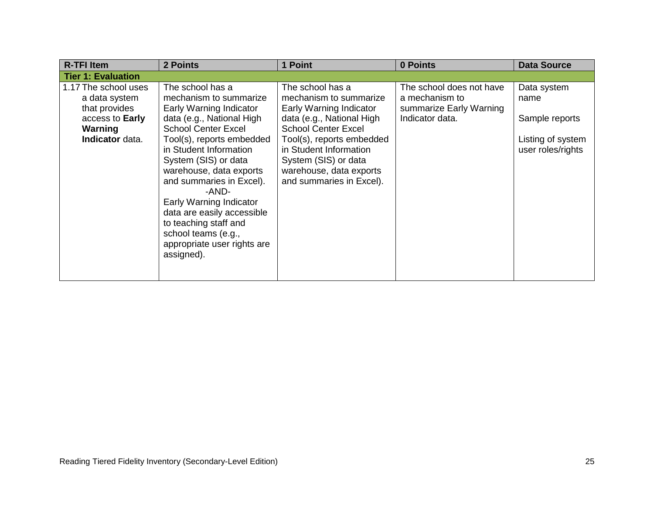| <b>R-TFI Item</b>                                                                                       | 2 Points                                                                                                                                                                                                                                                                                                                                                                                                                              | 1 Point                                                                                                                                                                                                                                                                | 0 Points                                                                                 | <b>Data Source</b>                                                              |
|---------------------------------------------------------------------------------------------------------|---------------------------------------------------------------------------------------------------------------------------------------------------------------------------------------------------------------------------------------------------------------------------------------------------------------------------------------------------------------------------------------------------------------------------------------|------------------------------------------------------------------------------------------------------------------------------------------------------------------------------------------------------------------------------------------------------------------------|------------------------------------------------------------------------------------------|---------------------------------------------------------------------------------|
| <b>Tier 1: Evaluation</b>                                                                               |                                                                                                                                                                                                                                                                                                                                                                                                                                       |                                                                                                                                                                                                                                                                        |                                                                                          |                                                                                 |
| 1.17 The school uses<br>a data system<br>that provides<br>access to Early<br>Warning<br>Indicator data. | The school has a<br>mechanism to summarize<br>Early Warning Indicator<br>data (e.g., National High<br><b>School Center Excel</b><br>Tool(s), reports embedded<br>in Student Information<br>System (SIS) or data<br>warehouse, data exports<br>and summaries in Excel).<br>-AND-<br>Early Warning Indicator<br>data are easily accessible<br>to teaching staff and<br>school teams (e.g.,<br>appropriate user rights are<br>assigned). | The school has a<br>mechanism to summarize<br>Early Warning Indicator<br>data (e.g., National High<br><b>School Center Excel</b><br>Tool(s), reports embedded<br>in Student Information<br>System (SIS) or data<br>warehouse, data exports<br>and summaries in Excel). | The school does not have<br>a mechanism to<br>summarize Early Warning<br>Indicator data. | Data system<br>name<br>Sample reports<br>Listing of system<br>user roles/rights |
|                                                                                                         |                                                                                                                                                                                                                                                                                                                                                                                                                                       |                                                                                                                                                                                                                                                                        |                                                                                          |                                                                                 |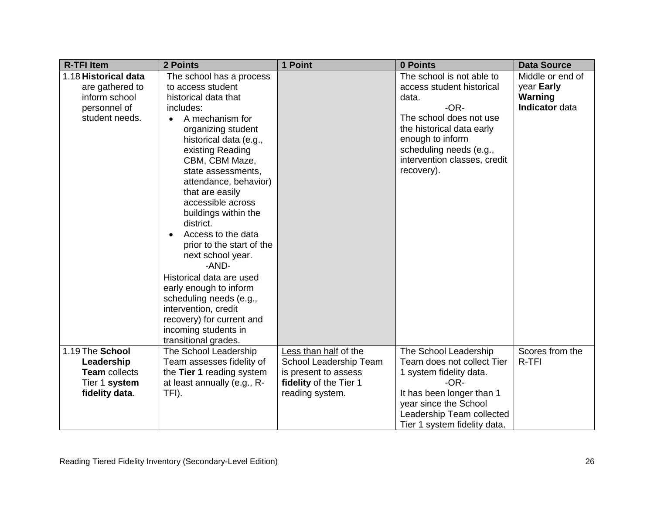| <b>R-TFI Item</b>                                                                          | 2 Points                                                                                                                                                                                                                                                                                                                                                                                                                                                                                                                                                                                       | 1 Point                                         | 0 Points                                                                                                                                                                                                                     | <b>Data Source</b>                                          |
|--------------------------------------------------------------------------------------------|------------------------------------------------------------------------------------------------------------------------------------------------------------------------------------------------------------------------------------------------------------------------------------------------------------------------------------------------------------------------------------------------------------------------------------------------------------------------------------------------------------------------------------------------------------------------------------------------|-------------------------------------------------|------------------------------------------------------------------------------------------------------------------------------------------------------------------------------------------------------------------------------|-------------------------------------------------------------|
| 1.18 Historical data<br>are gathered to<br>inform school<br>personnel of<br>student needs. | The school has a process<br>to access student<br>historical data that<br>includes:<br>A mechanism for<br>organizing student<br>historical data (e.g.,<br>existing Reading<br>CBM, CBM Maze,<br>state assessments,<br>attendance, behavior)<br>that are easily<br>accessible across<br>buildings within the<br>district.<br>Access to the data<br>prior to the start of the<br>next school year.<br>-AND-<br>Historical data are used<br>early enough to inform<br>scheduling needs (e.g.,<br>intervention, credit<br>recovery) for current and<br>incoming students in<br>transitional grades. |                                                 | The school is not able to<br>access student historical<br>data.<br>-OR-<br>The school does not use<br>the historical data early<br>enough to inform<br>scheduling needs (e.g.,<br>intervention classes, credit<br>recovery). | Middle or end of<br>year Early<br>Warning<br>Indicator data |
| 1.19 The School<br>Leadership                                                              | The School Leadership<br>Team assesses fidelity of                                                                                                                                                                                                                                                                                                                                                                                                                                                                                                                                             | Less than half of the<br>School Leadership Team | The School Leadership<br>Team does not collect Tier                                                                                                                                                                          | Scores from the<br>R-TFI                                    |
| <b>Team</b> collects<br>Tier 1 system                                                      | the Tier 1 reading system<br>at least annually (e.g., R-                                                                                                                                                                                                                                                                                                                                                                                                                                                                                                                                       | is present to assess<br>fidelity of the Tier 1  | 1 system fidelity data.<br>$-OR-$                                                                                                                                                                                            |                                                             |
| fidelity data.                                                                             | TFI).                                                                                                                                                                                                                                                                                                                                                                                                                                                                                                                                                                                          | reading system.                                 | It has been longer than 1<br>year since the School<br>Leadership Team collected<br>Tier 1 system fidelity data.                                                                                                              |                                                             |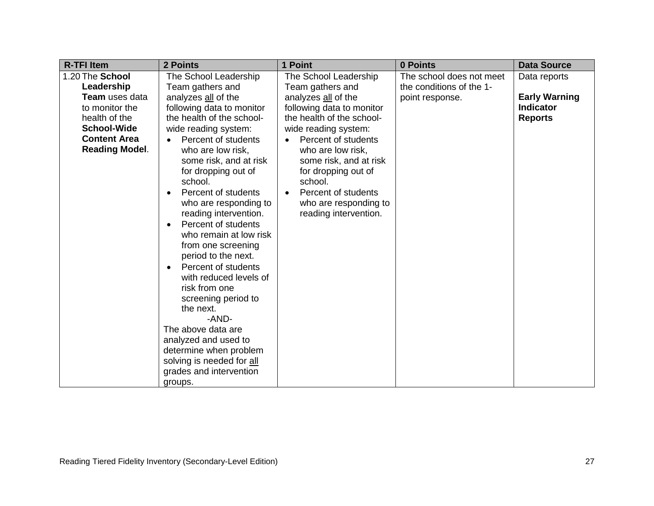| <b>R-TFI Item</b>                                                                                                                                               | 2 Points                                                                                                                                                                                                                                                                                                                                                                                                                                                                                                                                                                                                                                                                                                                                        | 1 Point                                                                                                                                                                                                                                                                                                                             | 0 Points                                                                | <b>Data Source</b>                                                         |
|-----------------------------------------------------------------------------------------------------------------------------------------------------------------|-------------------------------------------------------------------------------------------------------------------------------------------------------------------------------------------------------------------------------------------------------------------------------------------------------------------------------------------------------------------------------------------------------------------------------------------------------------------------------------------------------------------------------------------------------------------------------------------------------------------------------------------------------------------------------------------------------------------------------------------------|-------------------------------------------------------------------------------------------------------------------------------------------------------------------------------------------------------------------------------------------------------------------------------------------------------------------------------------|-------------------------------------------------------------------------|----------------------------------------------------------------------------|
| 1.20 The School<br>Leadership<br><b>Team</b> uses data<br>to monitor the<br>health of the<br><b>School-Wide</b><br><b>Content Area</b><br><b>Reading Model.</b> | The School Leadership<br>Team gathers and<br>analyzes all of the<br>following data to monitor<br>the health of the school-<br>wide reading system:<br>Percent of students<br>$\bullet$<br>who are low risk,<br>some risk, and at risk<br>for dropping out of<br>school.<br>Percent of students<br>$\bullet$<br>who are responding to<br>reading intervention.<br>Percent of students<br>$\bullet$<br>who remain at low risk<br>from one screening<br>period to the next.<br>Percent of students<br>$\bullet$<br>with reduced levels of<br>risk from one<br>screening period to<br>the next.<br>-AND-<br>The above data are<br>analyzed and used to<br>determine when problem<br>solving is needed for all<br>grades and intervention<br>groups. | The School Leadership<br>Team gathers and<br>analyzes all of the<br>following data to monitor<br>the health of the school-<br>wide reading system:<br>Percent of students<br>who are low risk,<br>some risk, and at risk<br>for dropping out of<br>school.<br>Percent of students<br>who are responding to<br>reading intervention. | The school does not meet<br>the conditions of the 1-<br>point response. | Data reports<br><b>Early Warning</b><br><b>Indicator</b><br><b>Reports</b> |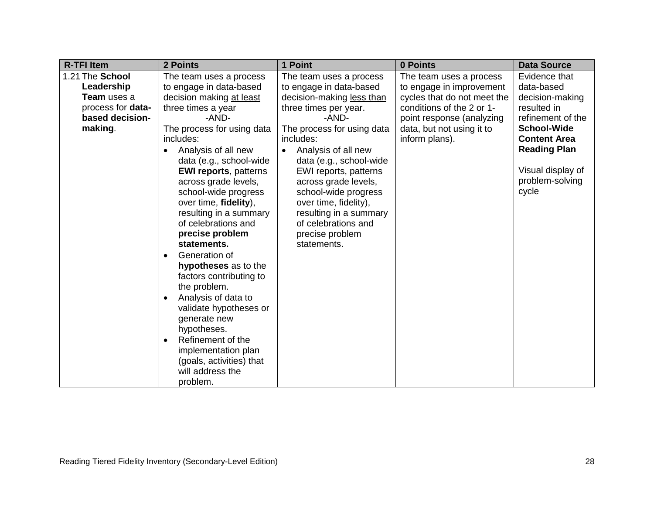| <b>R-TFI Item</b>        | 2 Points                         | 1 Point                    | 0 Points                    | <b>Data Source</b>  |
|--------------------------|----------------------------------|----------------------------|-----------------------------|---------------------|
| 1.21 The School          | The team uses a process          | The team uses a process    | The team uses a process     | Evidence that       |
| Leadership               | to engage in data-based          | to engage in data-based    | to engage in improvement    | data-based          |
| Team uses a              | decision making at least         | decision-making less than  | cycles that do not meet the | decision-making     |
| process for <b>data-</b> | three times a year               | three times per year.      | conditions of the 2 or 1-   | resulted in         |
| based decision-          | -AND-                            | -AND-                      | point response (analyzing   | refinement of the   |
| making.                  | The process for using data       | The process for using data | data, but not using it to   | <b>School-Wide</b>  |
|                          | includes:                        | includes:                  | inform plans).              | <b>Content Area</b> |
|                          | Analysis of all new              | Analysis of all new        |                             | <b>Reading Plan</b> |
|                          | data (e.g., school-wide          | data (e.g., school-wide    |                             |                     |
|                          | <b>EWI reports, patterns</b>     | EWI reports, patterns      |                             | Visual display of   |
|                          | across grade levels,             | across grade levels,       |                             | problem-solving     |
|                          | school-wide progress             | school-wide progress       |                             | cycle               |
|                          | over time, fidelity),            | over time, fidelity),      |                             |                     |
|                          | resulting in a summary           | resulting in a summary     |                             |                     |
|                          | of celebrations and              | of celebrations and        |                             |                     |
|                          | precise problem                  | precise problem            |                             |                     |
|                          | statements.                      | statements.                |                             |                     |
|                          | Generation of<br>$\bullet$       |                            |                             |                     |
|                          | hypotheses as to the             |                            |                             |                     |
|                          | factors contributing to          |                            |                             |                     |
|                          | the problem.                     |                            |                             |                     |
|                          | Analysis of data to<br>$\bullet$ |                            |                             |                     |
|                          | validate hypotheses or           |                            |                             |                     |
|                          | generate new                     |                            |                             |                     |
|                          | hypotheses.                      |                            |                             |                     |
|                          | Refinement of the<br>$\bullet$   |                            |                             |                     |
|                          | implementation plan              |                            |                             |                     |
|                          | (goals, activities) that         |                            |                             |                     |
|                          | will address the                 |                            |                             |                     |
|                          | problem.                         |                            |                             |                     |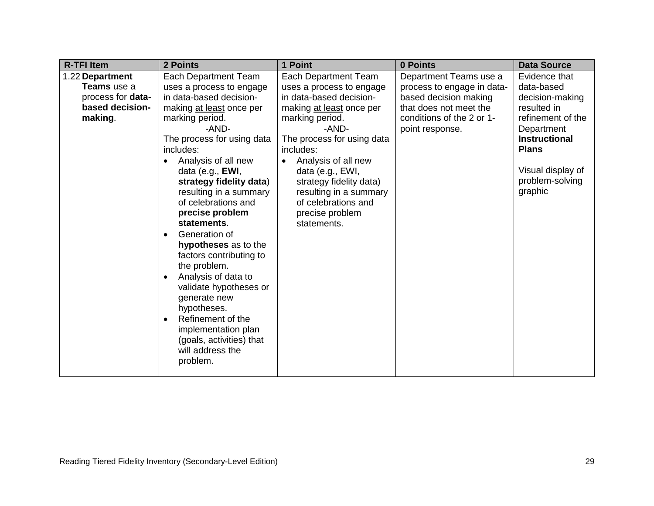| <b>R-TFI Item</b>        | 2 Points                       | 1 Point                    | 0 Points                   | <b>Data Source</b>   |
|--------------------------|--------------------------------|----------------------------|----------------------------|----------------------|
| 1.22 Department          | Each Department Team           | Each Department Team       | Department Teams use a     | Evidence that        |
| Teams use a              | uses a process to engage       | uses a process to engage   | process to engage in data- | data-based           |
| process for <b>data-</b> | in data-based decision-        | in data-based decision-    | based decision making      | decision-making      |
| based decision-          | making at least once per       | making at least once per   | that does not meet the     | resulted in          |
| making.                  | marking period.                | marking period.            | conditions of the 2 or 1-  | refinement of the    |
|                          | -AND-                          | -AND-                      | point response.            | Department           |
|                          | The process for using data     | The process for using data |                            | <b>Instructional</b> |
|                          | includes:                      | includes:                  |                            | <b>Plans</b>         |
|                          | Analysis of all new            | Analysis of all new        |                            |                      |
|                          | data (e.g., $EWI$ ,            | data (e.g., EWI,           |                            | Visual display of    |
|                          | strategy fidelity data)        | strategy fidelity data)    |                            | problem-solving      |
|                          | resulting in a summary         | resulting in a summary     |                            | graphic              |
|                          | of celebrations and            | of celebrations and        |                            |                      |
|                          | precise problem                | precise problem            |                            |                      |
|                          | statements.                    | statements.                |                            |                      |
|                          | Generation of<br>$\bullet$     |                            |                            |                      |
|                          | hypotheses as to the           |                            |                            |                      |
|                          | factors contributing to        |                            |                            |                      |
|                          | the problem.                   |                            |                            |                      |
|                          | Analysis of data to            |                            |                            |                      |
|                          | validate hypotheses or         |                            |                            |                      |
|                          | generate new                   |                            |                            |                      |
|                          | hypotheses.                    |                            |                            |                      |
|                          | Refinement of the<br>$\bullet$ |                            |                            |                      |
|                          | implementation plan            |                            |                            |                      |
|                          | (goals, activities) that       |                            |                            |                      |
|                          | will address the               |                            |                            |                      |
|                          | problem.                       |                            |                            |                      |
|                          |                                |                            |                            |                      |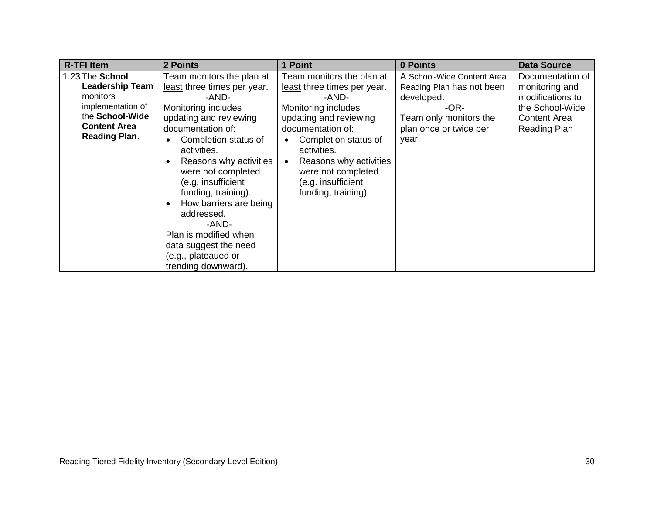| <b>R-TFI Item</b>      | 2 Points                                                                                                                                                                                                                                                                               | 1 Point                                                                                                                          | 0 Points                   | <b>Data Source</b>  |
|------------------------|----------------------------------------------------------------------------------------------------------------------------------------------------------------------------------------------------------------------------------------------------------------------------------------|----------------------------------------------------------------------------------------------------------------------------------|----------------------------|---------------------|
| 1.23 The School        | Team monitors the plan at                                                                                                                                                                                                                                                              | Team monitors the plan at                                                                                                        | A School-Wide Content Area | Documentation of    |
| <b>Leadership Team</b> | least three times per year.                                                                                                                                                                                                                                                            | least three times per year.                                                                                                      | Reading Plan has not been  | monitoring and      |
| monitors               | -AND-                                                                                                                                                                                                                                                                                  | -AND-                                                                                                                            | developed.                 | modifications to    |
| implementation of      | Monitoring includes                                                                                                                                                                                                                                                                    | Monitoring includes                                                                                                              | -OR-                       | the School-Wide     |
| the School-Wide        | updating and reviewing                                                                                                                                                                                                                                                                 | updating and reviewing                                                                                                           | Team only monitors the     | <b>Content Area</b> |
| <b>Content Area</b>    | documentation of:                                                                                                                                                                                                                                                                      | documentation of:                                                                                                                | plan once or twice per     | <b>Reading Plan</b> |
| <b>Reading Plan.</b>   | Completion status of<br>activities.<br>Reasons why activities<br>٠<br>were not completed<br>(e.g. insufficient<br>funding, training).<br>How barriers are being<br>addressed.<br>-AND-<br>Plan is modified when<br>data suggest the need<br>(e.g., plateaued or<br>trending downward). | Completion status of<br>activities.<br>Reasons why activities<br>were not completed<br>(e.g. insufficient<br>funding, training). | year.                      |                     |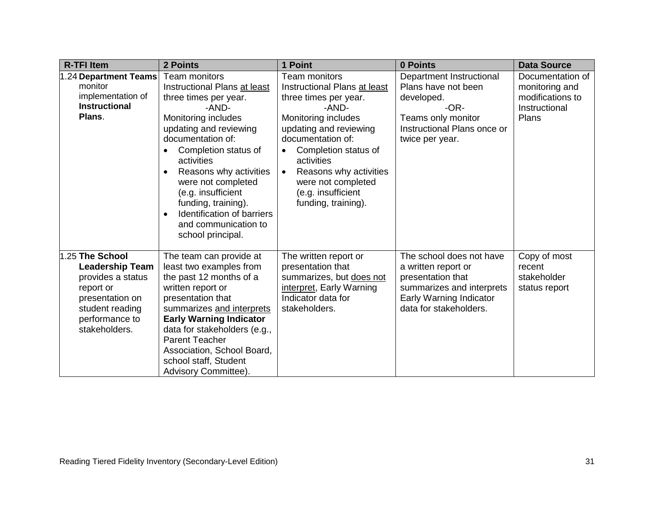| <b>R-TFI Item</b>      | 2 Points                                                                                                                                                                                                                                                                         | 1 Point                                                                                                                                                                                                                         | 0 Points                                                             | <b>Data Source</b> |
|------------------------|----------------------------------------------------------------------------------------------------------------------------------------------------------------------------------------------------------------------------------------------------------------------------------|---------------------------------------------------------------------------------------------------------------------------------------------------------------------------------------------------------------------------------|----------------------------------------------------------------------|--------------------|
| .24 Department Teams   | <b>Team monitors</b>                                                                                                                                                                                                                                                             | Team monitors                                                                                                                                                                                                                   | Department Instructional                                             | Documentation of   |
| monitor                | Instructional Plans at least                                                                                                                                                                                                                                                     | Instructional Plans at least                                                                                                                                                                                                    | Plans have not been                                                  | monitoring and     |
| implementation of      | three times per year.                                                                                                                                                                                                                                                            | three times per year.                                                                                                                                                                                                           | developed.                                                           | modifications to   |
| <b>Instructional</b>   | -AND-                                                                                                                                                                                                                                                                            | -AND-                                                                                                                                                                                                                           | -OR-                                                                 | Instructional      |
| Plans.                 | Monitoring includes<br>updating and reviewing<br>documentation of:<br>Completion status of<br>activities<br>Reasons why activities<br>were not completed<br>(e.g. insufficient<br>funding, training).<br>Identification of barriers<br>and communication to<br>school principal. | Monitoring includes<br>updating and reviewing<br>documentation of:<br>Completion status of<br>$\bullet$<br>activities<br>Reasons why activities<br>$\bullet$<br>were not completed<br>(e.g. insufficient<br>funding, training). | Teams only monitor<br>Instructional Plans once or<br>twice per year. | Plans              |
| 1.25 The School        | The team can provide at                                                                                                                                                                                                                                                          | The written report or                                                                                                                                                                                                           | The school does not have                                             | Copy of most       |
| <b>Leadership Team</b> | least two examples from                                                                                                                                                                                                                                                          | presentation that                                                                                                                                                                                                               | a written report or                                                  | recent             |
| provides a status      | the past 12 months of a                                                                                                                                                                                                                                                          | summarizes, but does not                                                                                                                                                                                                        | presentation that                                                    | stakeholder        |
| report or              | written report or                                                                                                                                                                                                                                                                | interpret, Early Warning                                                                                                                                                                                                        | summarizes and interprets                                            | status report      |
| presentation on        | presentation that                                                                                                                                                                                                                                                                | Indicator data for                                                                                                                                                                                                              | Early Warning Indicator                                              |                    |
| student reading        | summarizes and interprets                                                                                                                                                                                                                                                        | stakeholders.                                                                                                                                                                                                                   | data for stakeholders.                                               |                    |
| performance to         | <b>Early Warning Indicator</b>                                                                                                                                                                                                                                                   |                                                                                                                                                                                                                                 |                                                                      |                    |
| stakeholders.          | data for stakeholders (e.g.,                                                                                                                                                                                                                                                     |                                                                                                                                                                                                                                 |                                                                      |                    |
|                        | <b>Parent Teacher</b>                                                                                                                                                                                                                                                            |                                                                                                                                                                                                                                 |                                                                      |                    |
|                        | Association, School Board,                                                                                                                                                                                                                                                       |                                                                                                                                                                                                                                 |                                                                      |                    |
|                        | school staff, Student                                                                                                                                                                                                                                                            |                                                                                                                                                                                                                                 |                                                                      |                    |
|                        | Advisory Committee).                                                                                                                                                                                                                                                             |                                                                                                                                                                                                                                 |                                                                      |                    |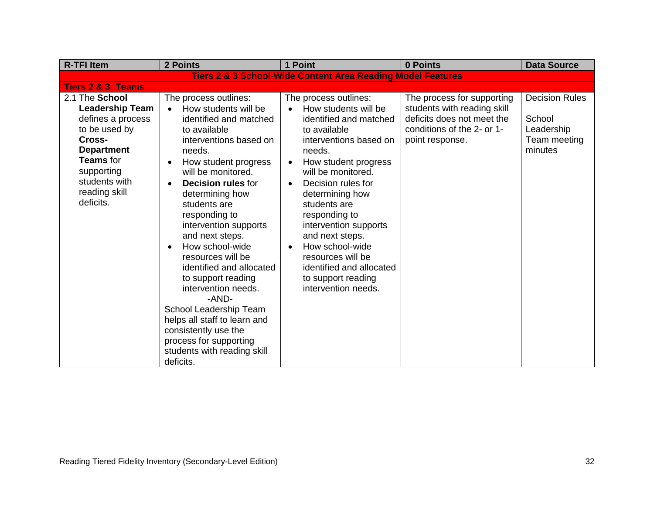| <b>R-TFI Item</b>                                                                                                                                                                       | 2 Points                                                                                                                                                                                                                                                                                                                                                                                                                                                                                                                                                                                                           | 1 Point                                                                                                                                                                                                                                                                                                                                                                                                                                                 | 0 Points                                                                                                                                 | <b>Data Source</b>                                                       |
|-----------------------------------------------------------------------------------------------------------------------------------------------------------------------------------------|--------------------------------------------------------------------------------------------------------------------------------------------------------------------------------------------------------------------------------------------------------------------------------------------------------------------------------------------------------------------------------------------------------------------------------------------------------------------------------------------------------------------------------------------------------------------------------------------------------------------|---------------------------------------------------------------------------------------------------------------------------------------------------------------------------------------------------------------------------------------------------------------------------------------------------------------------------------------------------------------------------------------------------------------------------------------------------------|------------------------------------------------------------------------------------------------------------------------------------------|--------------------------------------------------------------------------|
|                                                                                                                                                                                         |                                                                                                                                                                                                                                                                                                                                                                                                                                                                                                                                                                                                                    | <b>Tiers 2 &amp; 3 School-Wide Content Area Reading Model Features</b>                                                                                                                                                                                                                                                                                                                                                                                  |                                                                                                                                          |                                                                          |
| <b>Tiers 2 &amp; 3: Teams</b>                                                                                                                                                           |                                                                                                                                                                                                                                                                                                                                                                                                                                                                                                                                                                                                                    |                                                                                                                                                                                                                                                                                                                                                                                                                                                         |                                                                                                                                          |                                                                          |
| 2.1 The School<br><b>Leadership Team</b><br>defines a process<br>to be used by<br>Cross-<br><b>Department</b><br>Teams for<br>supporting<br>students with<br>reading skill<br>deficits. | The process outlines:<br>How students will be<br>identified and matched<br>to available<br>interventions based on<br>needs.<br>How student progress<br>will be monitored.<br><b>Decision rules for</b><br>$\bullet$<br>determining how<br>students are<br>responding to<br>intervention supports<br>and next steps.<br>How school-wide<br>$\bullet$<br>resources will be<br>identified and allocated<br>to support reading<br>intervention needs.<br>-AND-<br>School Leadership Team<br>helps all staff to learn and<br>consistently use the<br>process for supporting<br>students with reading skill<br>deficits. | The process outlines:<br>How students will be<br>identified and matched<br>to available<br>interventions based on<br>needs.<br>How student progress<br>$\bullet$<br>will be monitored.<br>Decision rules for<br>$\bullet$<br>determining how<br>students are<br>responding to<br>intervention supports<br>and next steps.<br>How school-wide<br>$\bullet$<br>resources will be<br>identified and allocated<br>to support reading<br>intervention needs. | The process for supporting<br>students with reading skill<br>deficits does not meet the<br>conditions of the 2- or 1-<br>point response. | <b>Decision Rules</b><br>School<br>Leadership<br>Team meeting<br>minutes |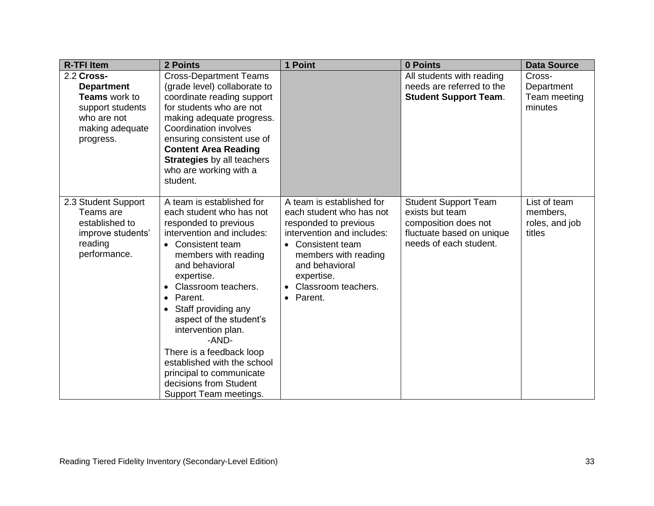| <b>R-TFI Item</b>                                                                                                          | 2 Points                                                                                                                                                                                                                                                                                                                                                                                                                                                             | 1 Point                                                                                                                                                                                                                       | 0 Points                                                                                                                      | <b>Data Source</b>                                   |
|----------------------------------------------------------------------------------------------------------------------------|----------------------------------------------------------------------------------------------------------------------------------------------------------------------------------------------------------------------------------------------------------------------------------------------------------------------------------------------------------------------------------------------------------------------------------------------------------------------|-------------------------------------------------------------------------------------------------------------------------------------------------------------------------------------------------------------------------------|-------------------------------------------------------------------------------------------------------------------------------|------------------------------------------------------|
| 2.2 Cross-<br><b>Department</b><br><b>Teams</b> work to<br>support students<br>who are not<br>making adequate<br>progress. | <b>Cross-Department Teams</b><br>(grade level) collaborate to<br>coordinate reading support<br>for students who are not<br>making adequate progress.<br>Coordination involves<br>ensuring consistent use of<br><b>Content Area Reading</b><br><b>Strategies</b> by all teachers<br>who are working with a<br>student.                                                                                                                                                |                                                                                                                                                                                                                               | All students with reading<br>needs are referred to the<br><b>Student Support Team.</b>                                        | Cross-<br>Department<br>Team meeting<br>minutes      |
| 2.3 Student Support<br>Teams are<br>established to<br>improve students'<br>reading<br>performance.                         | A team is established for<br>each student who has not<br>responded to previous<br>intervention and includes:<br>• Consistent team<br>members with reading<br>and behavioral<br>expertise.<br>Classroom teachers.<br>Parent.<br>$\bullet$<br>Staff providing any<br>aspect of the student's<br>intervention plan.<br>-AND-<br>There is a feedback loop<br>established with the school<br>principal to communicate<br>decisions from Student<br>Support Team meetings. | A team is established for<br>each student who has not<br>responded to previous<br>intervention and includes:<br>• Consistent team<br>members with reading<br>and behavioral<br>expertise.<br>Classroom teachers.<br>• Parent. | <b>Student Support Team</b><br>exists but team<br>composition does not<br>fluctuate based on unique<br>needs of each student. | List of team<br>members,<br>roles, and job<br>titles |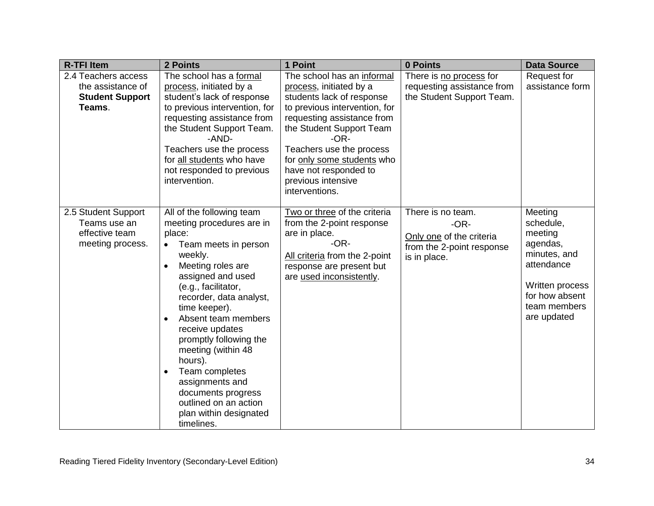| <b>R-TFI Item</b>                                                         | 2 Points                                                                                                                                                                                                                                                                                                                                                                                                                                                      | 1 Point                                                                                                                                                                                                                      | 0 Points                                                                                             | <b>Data Source</b>                                                                                                                            |
|---------------------------------------------------------------------------|---------------------------------------------------------------------------------------------------------------------------------------------------------------------------------------------------------------------------------------------------------------------------------------------------------------------------------------------------------------------------------------------------------------------------------------------------------------|------------------------------------------------------------------------------------------------------------------------------------------------------------------------------------------------------------------------------|------------------------------------------------------------------------------------------------------|-----------------------------------------------------------------------------------------------------------------------------------------------|
| 2.4 Teachers access                                                       | The school has a formal                                                                                                                                                                                                                                                                                                                                                                                                                                       | The school has an informal                                                                                                                                                                                                   | There is no process for                                                                              | Request for                                                                                                                                   |
| the assistance of                                                         | process, initiated by a                                                                                                                                                                                                                                                                                                                                                                                                                                       | process, initiated by a                                                                                                                                                                                                      | requesting assistance from                                                                           | assistance form                                                                                                                               |
| <b>Student Support</b>                                                    | student's lack of response                                                                                                                                                                                                                                                                                                                                                                                                                                    | students lack of response                                                                                                                                                                                                    | the Student Support Team.                                                                            |                                                                                                                                               |
| Teams.                                                                    | to previous intervention, for<br>requesting assistance from<br>the Student Support Team.<br>-AND-<br>Teachers use the process<br>for all students who have<br>not responded to previous<br>intervention.                                                                                                                                                                                                                                                      | to previous intervention, for<br>requesting assistance from<br>the Student Support Team<br>$-OR-$<br>Teachers use the process<br>for only some students who<br>have not responded to<br>previous intensive<br>interventions. |                                                                                                      |                                                                                                                                               |
| 2.5 Student Support<br>Teams use an<br>effective team<br>meeting process. | All of the following team<br>meeting procedures are in<br>place:<br>Team meets in person<br>$\bullet$<br>weekly.<br>Meeting roles are<br>assigned and used<br>(e.g., facilitator,<br>recorder, data analyst,<br>time keeper).<br>Absent team members<br>$\bullet$<br>receive updates<br>promptly following the<br>meeting (within 48<br>hours).<br>Team completes<br>assignments and<br>documents progress<br>outlined on an action<br>plan within designated | Two or three of the criteria<br>from the 2-point response<br>are in place.<br>$-OR-$<br>All criteria from the 2-point<br>response are present but<br>are used inconsistently.                                                | There is no team.<br>$-OR-$<br>Only one of the criteria<br>from the 2-point response<br>is in place. | Meeting<br>schedule,<br>meeting<br>agendas,<br>minutes, and<br>attendance<br>Written process<br>for how absent<br>team members<br>are updated |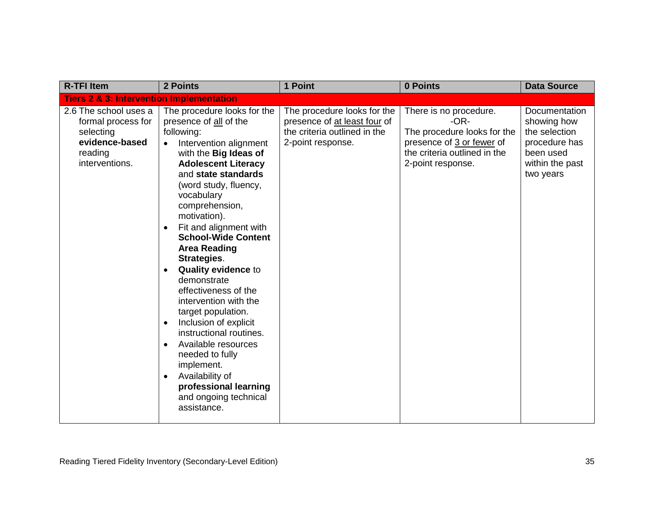| <b>R-TFI Item</b>                                                                                       | 2 Points                                                                                                                                                                                                                                                                                                                                                                                                                                                                                                                                                                                                                                                                                                | 1 Point                                                                                                          | 0 Points                                                                                                                                          | <b>Data Source</b>                                                                                          |
|---------------------------------------------------------------------------------------------------------|---------------------------------------------------------------------------------------------------------------------------------------------------------------------------------------------------------------------------------------------------------------------------------------------------------------------------------------------------------------------------------------------------------------------------------------------------------------------------------------------------------------------------------------------------------------------------------------------------------------------------------------------------------------------------------------------------------|------------------------------------------------------------------------------------------------------------------|---------------------------------------------------------------------------------------------------------------------------------------------------|-------------------------------------------------------------------------------------------------------------|
| <b>Tiers 2 &amp; 3: Intervention Implementation</b>                                                     |                                                                                                                                                                                                                                                                                                                                                                                                                                                                                                                                                                                                                                                                                                         |                                                                                                                  |                                                                                                                                                   |                                                                                                             |
| 2.6 The school uses a<br>formal process for<br>selecting<br>evidence-based<br>reading<br>interventions. | The procedure looks for the<br>presence of all of the<br>following:<br>Intervention alignment<br>$\bullet$<br>with the <b>Big Ideas of</b><br><b>Adolescent Literacy</b><br>and state standards<br>(word study, fluency,<br>vocabulary<br>comprehension,<br>motivation).<br>Fit and alignment with<br><b>School-Wide Content</b><br><b>Area Reading</b><br>Strategies.<br><b>Quality evidence to</b><br>$\bullet$<br>demonstrate<br>effectiveness of the<br>intervention with the<br>target population.<br>Inclusion of explicit<br>instructional routines.<br>Available resources<br>needed to fully<br>implement.<br>Availability of<br>professional learning<br>and ongoing technical<br>assistance. | The procedure looks for the<br>presence of at least four of<br>the criteria outlined in the<br>2-point response. | There is no procedure.<br>$-OR-$<br>The procedure looks for the<br>presence of 3 or fewer of<br>the criteria outlined in the<br>2-point response. | Documentation<br>showing how<br>the selection<br>procedure has<br>been used<br>within the past<br>two years |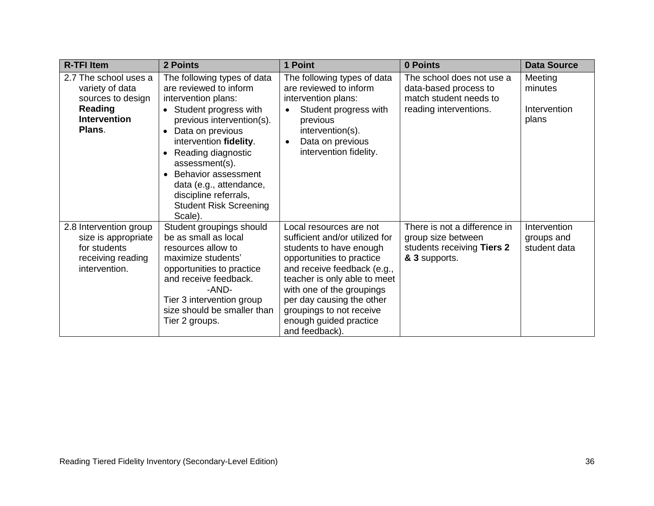| <b>R-TFI Item</b>                                                                                         | 2 Points                                                                                                                                                                                                                                                                                                                                                       | 1 Point                                                                                                                                                                                                                                                                                                            | 0 Points                                                                                               | <b>Data Source</b>                          |
|-----------------------------------------------------------------------------------------------------------|----------------------------------------------------------------------------------------------------------------------------------------------------------------------------------------------------------------------------------------------------------------------------------------------------------------------------------------------------------------|--------------------------------------------------------------------------------------------------------------------------------------------------------------------------------------------------------------------------------------------------------------------------------------------------------------------|--------------------------------------------------------------------------------------------------------|---------------------------------------------|
| 2.7 The school uses a<br>variety of data<br>sources to design<br>Reading<br><b>Intervention</b><br>Plans. | The following types of data<br>are reviewed to inform<br>intervention plans:<br>• Student progress with<br>previous intervention(s).<br>Data on previous<br>$\bullet$<br>intervention fidelity.<br>Reading diagnostic<br>assessment(s).<br>Behavior assessment<br>data (e.g., attendance,<br>discipline referrals,<br><b>Student Risk Screening</b><br>Scale). | The following types of data<br>are reviewed to inform<br>intervention plans:<br>Student progress with<br>previous<br>intervention(s).<br>Data on previous<br>$\bullet$<br>intervention fidelity.                                                                                                                   | The school does not use a<br>data-based process to<br>match student needs to<br>reading interventions. | Meeting<br>minutes<br>Intervention<br>plans |
| 2.8 Intervention group<br>size is appropriate<br>for students<br>receiving reading<br>intervention.       | Student groupings should<br>be as small as local<br>resources allow to<br>maximize students'<br>opportunities to practice<br>and receive feedback.<br>-AND-<br>Tier 3 intervention group<br>size should be smaller than<br>Tier 2 groups.                                                                                                                      | Local resources are not<br>sufficient and/or utilized for<br>students to have enough<br>opportunities to practice<br>and receive feedback (e.g.,<br>teacher is only able to meet<br>with one of the groupings<br>per day causing the other<br>groupings to not receive<br>enough guided practice<br>and feedback). | There is not a difference in<br>group size between<br>students receiving Tiers 2<br>& 3 supports.      | Intervention<br>groups and<br>student data  |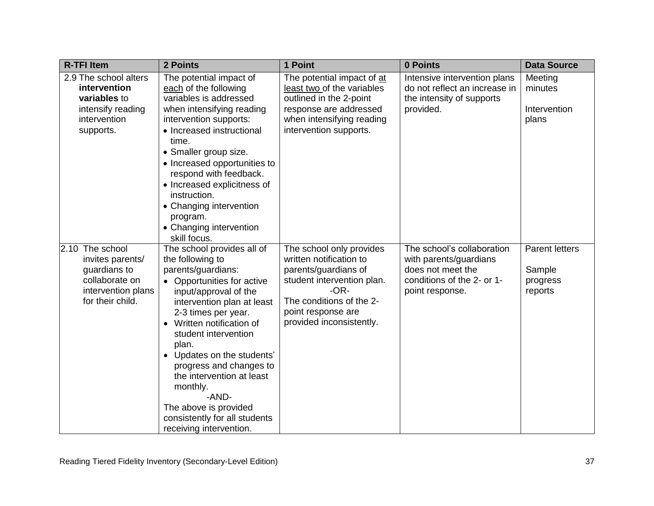| <b>R-TFI Item</b>                                                                                               | 2 Points                                                                                                                                                                                                                                                                                                                                                                                                                                                | 1 Point                                                                                                                                                                                           | 0 Points                                                                                                                   | <b>Data Source</b>                                     |
|-----------------------------------------------------------------------------------------------------------------|---------------------------------------------------------------------------------------------------------------------------------------------------------------------------------------------------------------------------------------------------------------------------------------------------------------------------------------------------------------------------------------------------------------------------------------------------------|---------------------------------------------------------------------------------------------------------------------------------------------------------------------------------------------------|----------------------------------------------------------------------------------------------------------------------------|--------------------------------------------------------|
| 2.9 The school alters<br>intervention<br>variables to<br>intensify reading<br>intervention<br>supports.         | The potential impact of<br>each of the following<br>variables is addressed<br>when intensifying reading<br>intervention supports:<br>• Increased instructional<br>time.<br>• Smaller group size.<br>• Increased opportunities to<br>respond with feedback.<br>• Increased explicitness of<br>instruction.<br>• Changing intervention<br>program.<br>• Changing intervention<br>skill focus.                                                             | The potential impact of at<br>least two of the variables<br>outlined in the 2-point<br>response are addressed<br>when intensifying reading<br>intervention supports.                              | Intensive intervention plans<br>do not reflect an increase in<br>the intensity of supports<br>provided.                    | Meeting<br>minutes<br>Intervention<br>plans            |
| 2.10 The school<br>invites parents/<br>guardians to<br>collaborate on<br>intervention plans<br>for their child. | The school provides all of<br>the following to<br>parents/guardians:<br>• Opportunities for active<br>input/approval of the<br>intervention plan at least<br>2-3 times per year.<br>Written notification of<br>student intervention<br>plan.<br>Updates on the students'<br>$\bullet$<br>progress and changes to<br>the intervention at least<br>monthly.<br>-AND-<br>The above is provided<br>consistently for all students<br>receiving intervention. | The school only provides<br>written notification to<br>parents/guardians of<br>student intervention plan.<br>$-OR-$<br>The conditions of the 2-<br>point response are<br>provided inconsistently. | The school's collaboration<br>with parents/guardians<br>does not meet the<br>conditions of the 2- or 1-<br>point response. | <b>Parent letters</b><br>Sample<br>progress<br>reports |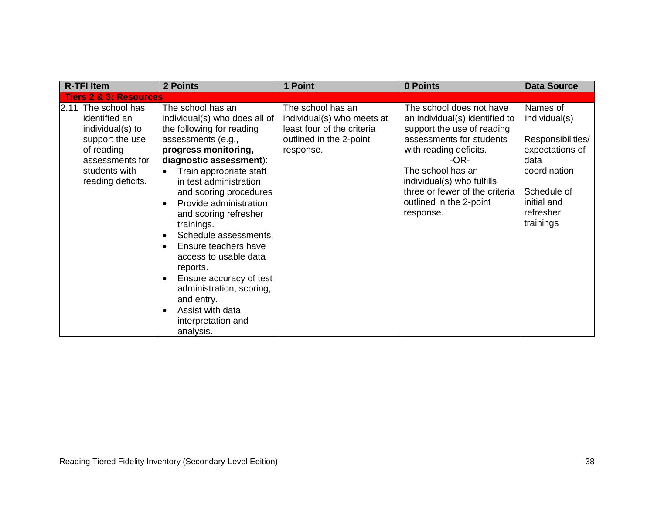| <b>R-TFI Item</b>                                                                                                                                  | 2 Points                                                                                                                                                                                                                                                                                                                                                                                                                                                                                                                                                          | 1 Point                                                                                                               | 0 Points                                                                                                                                                                                                                                                                            | <b>Data Source</b>                                                                                                                                |
|----------------------------------------------------------------------------------------------------------------------------------------------------|-------------------------------------------------------------------------------------------------------------------------------------------------------------------------------------------------------------------------------------------------------------------------------------------------------------------------------------------------------------------------------------------------------------------------------------------------------------------------------------------------------------------------------------------------------------------|-----------------------------------------------------------------------------------------------------------------------|-------------------------------------------------------------------------------------------------------------------------------------------------------------------------------------------------------------------------------------------------------------------------------------|---------------------------------------------------------------------------------------------------------------------------------------------------|
| <b>Tiers 2 &amp; 3: Resources</b>                                                                                                                  |                                                                                                                                                                                                                                                                                                                                                                                                                                                                                                                                                                   |                                                                                                                       |                                                                                                                                                                                                                                                                                     |                                                                                                                                                   |
| 2.11 The school has<br>identified an<br>individual(s) to<br>support the use<br>of reading<br>assessments for<br>students with<br>reading deficits. | The school has an<br>individual(s) who does all of<br>the following for reading<br>assessments (e.g.,<br>progress monitoring,<br>diagnostic assessment):<br>Train appropriate staff<br>$\bullet$<br>in test administration<br>and scoring procedures<br>Provide administration<br>and scoring refresher<br>trainings.<br>Schedule assessments.<br>$\bullet$<br>Ensure teachers have<br>access to usable data<br>reports.<br>Ensure accuracy of test<br>administration, scoring,<br>and entry.<br>Assist with data<br>$\bullet$<br>interpretation and<br>analysis. | The school has an<br>individual(s) who meets at<br>least four of the criteria<br>outlined in the 2-point<br>response. | The school does not have<br>an individual(s) identified to<br>support the use of reading<br>assessments for students<br>with reading deficits.<br>-OR-<br>The school has an<br>individual(s) who fulfills<br>three or fewer of the criteria<br>outlined in the 2-point<br>response. | Names of<br>individual(s)<br>Responsibilities/<br>expectations of<br>data<br>coordination<br>Schedule of<br>initial and<br>refresher<br>trainings |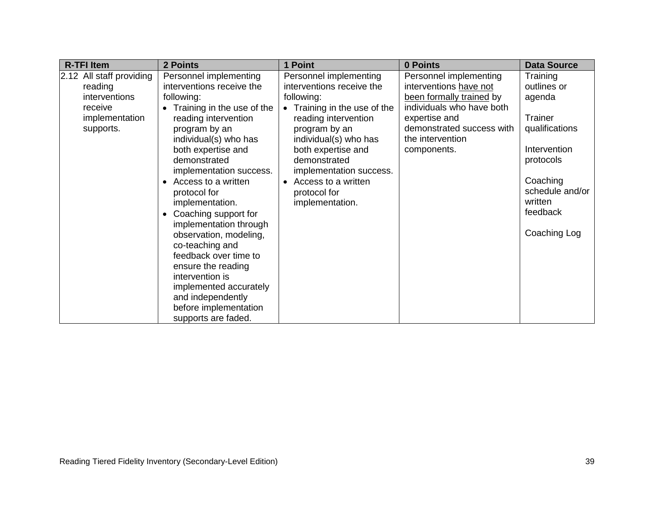| <b>R-TFI Item</b>                                                                              | 2 Points                                                                                                                                                                                                                                                                                                                                                                                                                                                                                                                                                       | 1 Point                                                                                                                                                                                                                                                                                                                | 0 Points                                                                                                                                                                                   | <b>Data Source</b>                                                                                                                                                |
|------------------------------------------------------------------------------------------------|----------------------------------------------------------------------------------------------------------------------------------------------------------------------------------------------------------------------------------------------------------------------------------------------------------------------------------------------------------------------------------------------------------------------------------------------------------------------------------------------------------------------------------------------------------------|------------------------------------------------------------------------------------------------------------------------------------------------------------------------------------------------------------------------------------------------------------------------------------------------------------------------|--------------------------------------------------------------------------------------------------------------------------------------------------------------------------------------------|-------------------------------------------------------------------------------------------------------------------------------------------------------------------|
| 2.12 All staff providing<br>reading<br>interventions<br>receive<br>implementation<br>supports. | Personnel implementing<br>interventions receive the<br>following:<br>• Training in the use of the<br>reading intervention<br>program by an<br>individual(s) who has<br>both expertise and<br>demonstrated<br>implementation success.<br>Access to a written<br>protocol for<br>implementation.<br>Coaching support for<br>implementation through<br>observation, modeling,<br>co-teaching and<br>feedback over time to<br>ensure the reading<br>intervention is<br>implemented accurately<br>and independently<br>before implementation<br>supports are faded. | Personnel implementing<br>interventions receive the<br>following:<br>Training in the use of the<br>$\bullet$<br>reading intervention<br>program by an<br>individual(s) who has<br>both expertise and<br>demonstrated<br>implementation success.<br>Access to a written<br>$\bullet$<br>protocol for<br>implementation. | Personnel implementing<br>interventions have not<br>been formally trained by<br>individuals who have both<br>expertise and<br>demonstrated success with<br>the intervention<br>components. | Training<br>outlines or<br>agenda<br>Trainer<br>qualifications<br>Intervention<br>protocols<br>Coaching<br>schedule and/or<br>written<br>feedback<br>Coaching Log |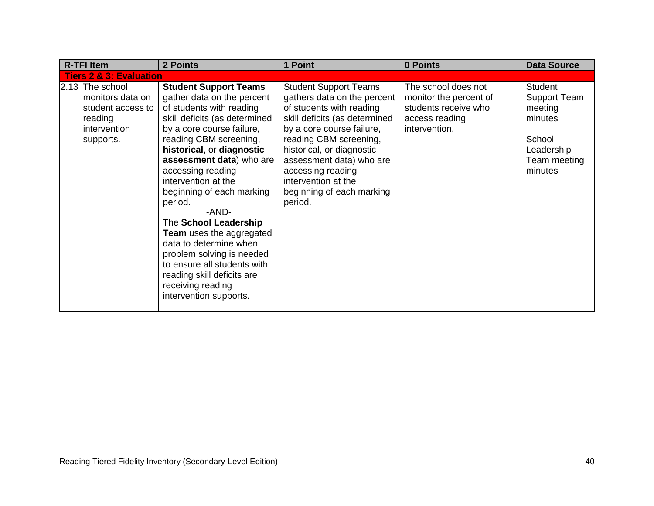| <b>R-TFI Item</b>                                                                                | 2 Points                                                                                                                                                                                                                                                                                                                                                                                                                                                                                                                                                            | 1 Point                                                                                                                                                                                                                                                                                                                      | 0 Points                                                                                                 | <b>Data Source</b>                                                                                      |
|--------------------------------------------------------------------------------------------------|---------------------------------------------------------------------------------------------------------------------------------------------------------------------------------------------------------------------------------------------------------------------------------------------------------------------------------------------------------------------------------------------------------------------------------------------------------------------------------------------------------------------------------------------------------------------|------------------------------------------------------------------------------------------------------------------------------------------------------------------------------------------------------------------------------------------------------------------------------------------------------------------------------|----------------------------------------------------------------------------------------------------------|---------------------------------------------------------------------------------------------------------|
| <b>Tiers 2 &amp; 3: Evaluation</b>                                                               |                                                                                                                                                                                                                                                                                                                                                                                                                                                                                                                                                                     |                                                                                                                                                                                                                                                                                                                              |                                                                                                          |                                                                                                         |
| 2.13 The school<br>monitors data on<br>student access to<br>reading<br>intervention<br>supports. | <b>Student Support Teams</b><br>gather data on the percent<br>of students with reading<br>skill deficits (as determined<br>by a core course failure,<br>reading CBM screening,<br>historical, or diagnostic<br>assessment data) who are<br>accessing reading<br>intervention at the<br>beginning of each marking<br>period.<br>-AND-<br>The School Leadership<br><b>Team</b> uses the aggregated<br>data to determine when<br>problem solving is needed<br>to ensure all students with<br>reading skill deficits are<br>receiving reading<br>intervention supports. | <b>Student Support Teams</b><br>gathers data on the percent<br>of students with reading<br>skill deficits (as determined<br>by a core course failure,<br>reading CBM screening,<br>historical, or diagnostic<br>assessment data) who are<br>accessing reading<br>intervention at the<br>beginning of each marking<br>period. | The school does not<br>monitor the percent of<br>students receive who<br>access reading<br>intervention. | Student<br><b>Support Team</b><br>meeting<br>minutes<br>School<br>Leadership<br>Team meeting<br>minutes |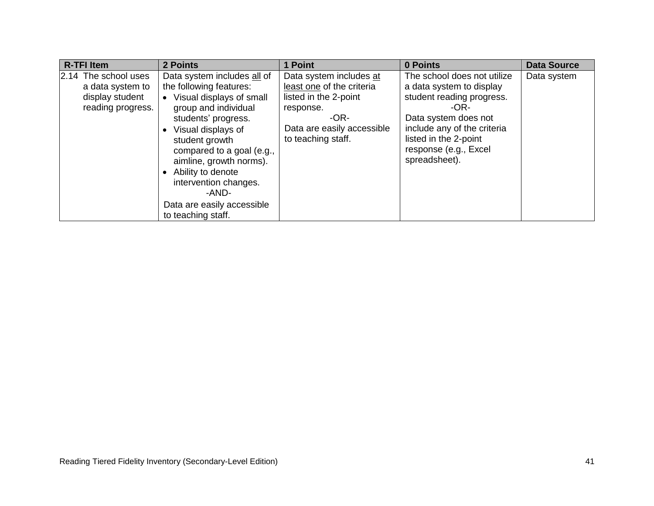| <b>R-TFI Item</b>                                                                | 2 Points                                                                                                                                                                                                                                                                                                                                       | 1 Point                                                                                                                                                  | 0 Points                                                                                                                                                                                                               | <b>Data Source</b> |
|----------------------------------------------------------------------------------|------------------------------------------------------------------------------------------------------------------------------------------------------------------------------------------------------------------------------------------------------------------------------------------------------------------------------------------------|----------------------------------------------------------------------------------------------------------------------------------------------------------|------------------------------------------------------------------------------------------------------------------------------------------------------------------------------------------------------------------------|--------------------|
| 2.14 The school uses<br>a data system to<br>display student<br>reading progress. | Data system includes all of<br>the following features:<br>• Visual displays of small<br>group and individual<br>students' progress.<br>Visual displays of<br>student growth<br>compared to a goal (e.g.,<br>aimline, growth norms).<br>Ability to denote<br>intervention changes.<br>-AND-<br>Data are easily accessible<br>to teaching staff. | Data system includes at<br>least one of the criteria<br>listed in the 2-point<br>response.<br>$-OR-$<br>Data are easily accessible<br>to teaching staff. | The school does not utilize<br>a data system to display<br>student reading progress.<br>-OR-<br>Data system does not<br>include any of the criteria<br>listed in the 2-point<br>response (e.g., Excel<br>spreadsheet). | Data system        |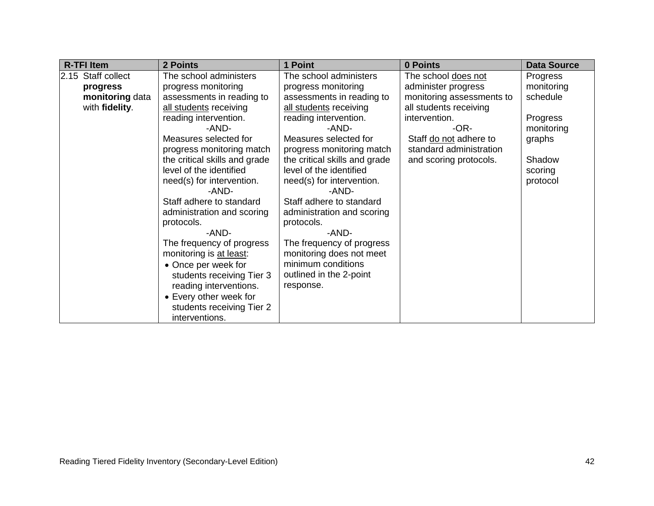| <b>R-TFI Item</b>  | 2 Points                      | 1 Point                       | 0 Points                  | <b>Data Source</b> |
|--------------------|-------------------------------|-------------------------------|---------------------------|--------------------|
| 2.15 Staff collect | The school administers        | The school administers        | The school does not       | Progress           |
| progress           | progress monitoring           | progress monitoring           | administer progress       | monitoring         |
| monitoring data    | assessments in reading to     | assessments in reading to     | monitoring assessments to | schedule           |
| with fidelity.     | all students receiving        | all students receiving        | all students receiving    |                    |
|                    | reading intervention.         | reading intervention.         | intervention.             | Progress           |
|                    | -AND-                         | -AND-                         | $-OR-$                    | monitoring         |
|                    | Measures selected for         | Measures selected for         | Staff do not adhere to    | graphs             |
|                    | progress monitoring match     | progress monitoring match     | standard administration   |                    |
|                    | the critical skills and grade | the critical skills and grade | and scoring protocols.    | Shadow             |
|                    | level of the identified       | level of the identified       |                           | scoring            |
|                    | need(s) for intervention.     | need(s) for intervention.     |                           | protocol           |
|                    | -AND-                         | -AND-                         |                           |                    |
|                    | Staff adhere to standard      | Staff adhere to standard      |                           |                    |
|                    | administration and scoring    | administration and scoring    |                           |                    |
|                    | protocols.                    | protocols.                    |                           |                    |
|                    | -AND-                         | -AND-                         |                           |                    |
|                    | The frequency of progress     | The frequency of progress     |                           |                    |
|                    | monitoring is at least:       | monitoring does not meet      |                           |                    |
|                    | • Once per week for           | minimum conditions            |                           |                    |
|                    | students receiving Tier 3     | outlined in the 2-point       |                           |                    |
|                    | reading interventions.        | response.                     |                           |                    |
|                    | • Every other week for        |                               |                           |                    |
|                    | students receiving Tier 2     |                               |                           |                    |
|                    | interventions.                |                               |                           |                    |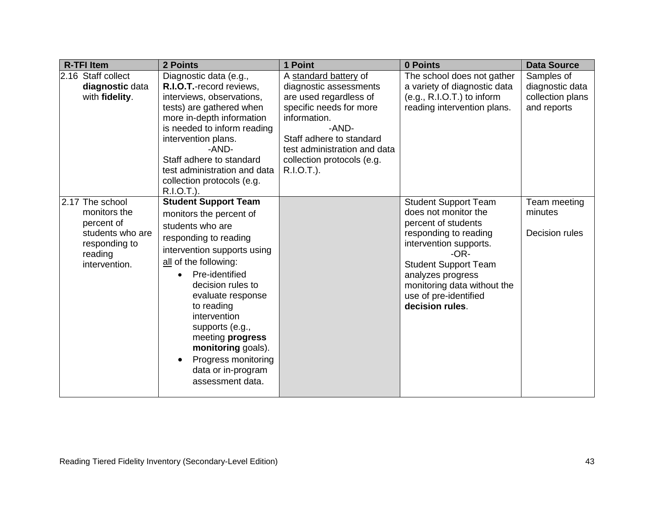| <b>R-TFI Item</b>                                                                                              | 2 Points                                                                                                                                                                                                                                                                                                                                                                                         | 1 Point                                                                                                                                                                                                                               | 0 Points                                                                                                                                                                                                                                                               | <b>Data Source</b>                                               |
|----------------------------------------------------------------------------------------------------------------|--------------------------------------------------------------------------------------------------------------------------------------------------------------------------------------------------------------------------------------------------------------------------------------------------------------------------------------------------------------------------------------------------|---------------------------------------------------------------------------------------------------------------------------------------------------------------------------------------------------------------------------------------|------------------------------------------------------------------------------------------------------------------------------------------------------------------------------------------------------------------------------------------------------------------------|------------------------------------------------------------------|
| 2.16 Staff collect<br>diagnostic data<br>with fidelity.                                                        | Diagnostic data (e.g.,<br>R.I.O.T.-record reviews,<br>interviews, observations,<br>tests) are gathered when<br>more in-depth information<br>is needed to inform reading<br>intervention plans.<br>-AND-<br>Staff adhere to standard<br>test administration and data<br>collection protocols (e.g.<br>R.I.O.T.).                                                                                  | A standard battery of<br>diagnostic assessments<br>are used regardless of<br>specific needs for more<br>information.<br>-AND-<br>Staff adhere to standard<br>test administration and data<br>collection protocols (e.g.<br>R.I.O.T.). | The school does not gather<br>a variety of diagnostic data<br>$(e.g., R.I.O.T.)$ to inform<br>reading intervention plans.                                                                                                                                              | Samples of<br>diagnostic data<br>collection plans<br>and reports |
| 2.17 The school<br>monitors the<br>percent of<br>students who are<br>responding to<br>reading<br>intervention. | <b>Student Support Team</b><br>monitors the percent of<br>students who are<br>responding to reading<br>intervention supports using<br>all of the following:<br>Pre-identified<br>$\bullet$<br>decision rules to<br>evaluate response<br>to reading<br>intervention<br>supports (e.g.,<br>meeting progress<br>monitoring goals).<br>Progress monitoring<br>data or in-program<br>assessment data. |                                                                                                                                                                                                                                       | <b>Student Support Team</b><br>does not monitor the<br>percent of students<br>responding to reading<br>intervention supports.<br>$-OR-$<br><b>Student Support Team</b><br>analyzes progress<br>monitoring data without the<br>use of pre-identified<br>decision rules. | Team meeting<br>minutes<br>Decision rules                        |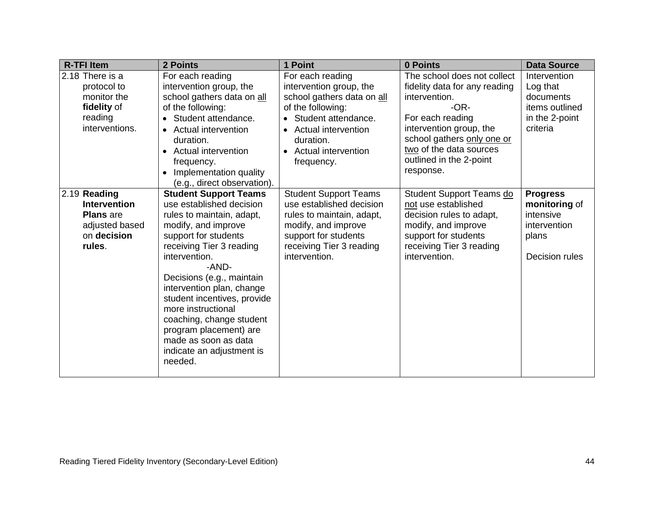| <b>R-TFI Item</b>   | 2 Points                     | 1 Point                                 | 0 Points                      | <b>Data Source</b> |
|---------------------|------------------------------|-----------------------------------------|-------------------------------|--------------------|
| 2.18 There is a     | For each reading             | For each reading                        | The school does not collect   | Intervention       |
| protocol to         | intervention group, the      | intervention group, the                 | fidelity data for any reading | Log that           |
| monitor the         | school gathers data on all   | school gathers data on all              | intervention.                 | documents          |
| fidelity of         | of the following:            | of the following:                       | $-OR-$                        | items outlined     |
| reading             | Student attendance.          | Student attendance.                     | For each reading              | in the 2-point     |
| interventions.      | • Actual intervention        | <b>Actual intervention</b><br>$\bullet$ | intervention group, the       | criteria           |
|                     | duration.                    | duration.                               | school gathers only one or    |                    |
|                     | • Actual intervention        | <b>Actual intervention</b><br>$\bullet$ | two of the data sources       |                    |
|                     | frequency.                   | frequency.                              | outlined in the 2-point       |                    |
|                     | Implementation quality       |                                         | response.                     |                    |
|                     | (e.g., direct observation).  |                                         |                               |                    |
| 2.19 Reading        | <b>Student Support Teams</b> | <b>Student Support Teams</b>            | Student Support Teams do      | <b>Progress</b>    |
| <b>Intervention</b> | use established decision     | use established decision                | not use established           | monitoring of      |
| <b>Plans</b> are    | rules to maintain, adapt,    | rules to maintain, adapt,               | decision rules to adapt,      | intensive          |
| adjusted based      | modify, and improve          | modify, and improve                     | modify, and improve           | intervention       |
| on decision         | support for students         | support for students                    | support for students          | plans              |
| rules.              | receiving Tier 3 reading     | receiving Tier 3 reading                | receiving Tier 3 reading      |                    |
|                     | intervention.                | intervention.                           | intervention.                 | Decision rules     |
|                     | -AND-                        |                                         |                               |                    |
|                     | Decisions (e.g., maintain    |                                         |                               |                    |
|                     | intervention plan, change    |                                         |                               |                    |
|                     | student incentives, provide  |                                         |                               |                    |
|                     | more instructional           |                                         |                               |                    |
|                     | coaching, change student     |                                         |                               |                    |
|                     | program placement) are       |                                         |                               |                    |
|                     | made as soon as data         |                                         |                               |                    |
|                     | indicate an adjustment is    |                                         |                               |                    |
|                     | needed.                      |                                         |                               |                    |
|                     |                              |                                         |                               |                    |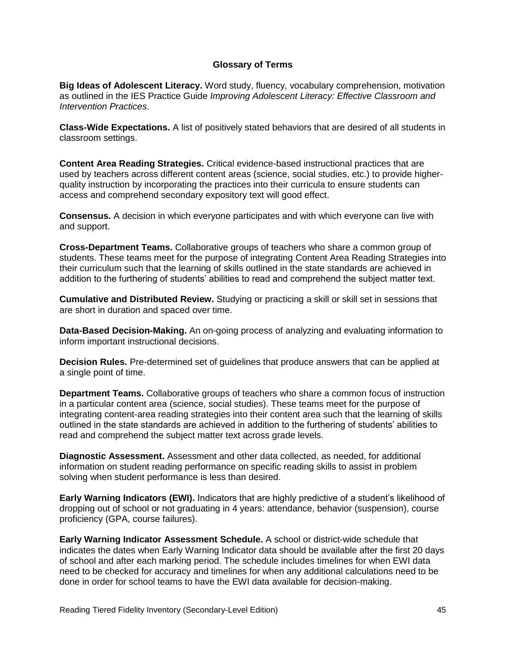## **Glossary of Terms**

**Big Ideas of Adolescent Literacy.** Word study, fluency, vocabulary comprehension, motivation as outlined in the IES Practice Guide *Improving Adolescent Literacy: Effective Classroom and Intervention Practices*.

**Class-Wide Expectations.** A list of positively stated behaviors that are desired of all students in classroom settings.

**Content Area Reading Strategies.** Critical evidence-based instructional practices that are used by teachers across different content areas (science, social studies, etc.) to provide higherquality instruction by incorporating the practices into their curricula to ensure students can access and comprehend secondary expository text will good effect.

**Consensus.** A decision in which everyone participates and with which everyone can live with and support.

**Cross-Department Teams.** Collaborative groups of teachers who share a common group of students. These teams meet for the purpose of integrating Content Area Reading Strategies into their curriculum such that the learning of skills outlined in the state standards are achieved in addition to the furthering of students' abilities to read and comprehend the subject matter text.

**Cumulative and Distributed Review.** Studying or practicing a skill or skill set in sessions that are short in duration and spaced over time.

**Data-Based Decision-Making.** An on-going process of analyzing and evaluating information to inform important instructional decisions.

**Decision Rules.** Pre-determined set of guidelines that produce answers that can be applied at a single point of time.

**Department Teams.** Collaborative groups of teachers who share a common focus of instruction in a particular content area (science, social studies). These teams meet for the purpose of integrating content-area reading strategies into their content area such that the learning of skills outlined in the state standards are achieved in addition to the furthering of students' abilities to read and comprehend the subject matter text across grade levels.

**Diagnostic Assessment.** Assessment and other data collected, as needed, for additional information on student reading performance on specific reading skills to assist in problem solving when student performance is less than desired.

**Early Warning Indicators (EWI).** Indicators that are highly predictive of a student's likelihood of dropping out of school or not graduating in 4 years: attendance, behavior (suspension), course proficiency (GPA, course failures).

**Early Warning Indicator Assessment Schedule.** A school or district-wide schedule that indicates the dates when Early Warning Indicator data should be available after the first 20 days of school and after each marking period. The schedule includes timelines for when EWI data need to be checked for accuracy and timelines for when any additional calculations need to be done in order for school teams to have the EWI data available for decision-making.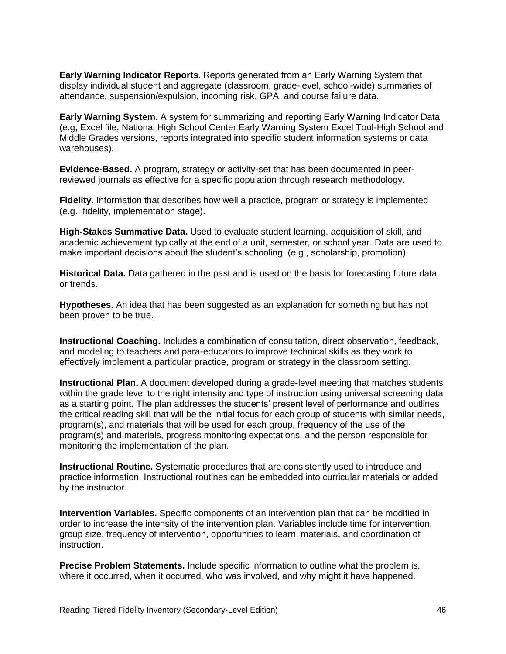**Early Warning Indicator Reports.** Reports generated from an Early Warning System that display individual student and aggregate (classroom, grade-level, school-wide) summaries of attendance, suspension/expulsion, incoming risk, GPA, and course failure data.

**Early Warning System.** A system for summarizing and reporting Early Warning Indicator Data (e.g, Excel file, National High School Center Early Warning System Excel Tool-High School and Middle Grades versions, reports integrated into specific student information systems or data warehouses).

**Evidence-Based.** A program, strategy or activity-set that has been documented in peerreviewed journals as effective for a specific population through research methodology.

**Fidelity.** Information that describes how well a practice, program or strategy is implemented (e.g., fidelity, implementation stage).

**High-Stakes Summative Data.** Used to evaluate student learning, acquisition of skill, and academic achievement typically at the end of a unit, semester, or school year. Data are used to make important decisions about the student's schooling (e.g., scholarship, promotion)

**Historical Data.** Data gathered in the past and is used on the basis for forecasting future data or trends.

**Hypotheses.** An idea that has been suggested as an explanation for something but has not been proven to be true.

**Instructional Coaching.** Includes a combination of consultation, direct observation, feedback, and modeling to teachers and para-educators to improve technical skills as they work to effectively implement a particular practice, program or strategy in the classroom setting.

**Instructional Plan.** A document developed during a grade-level meeting that matches students within the grade level to the right intensity and type of instruction using universal screening data as a starting point. The plan addresses the students' present level of performance and outlines the critical reading skill that will be the initial focus for each group of students with similar needs, program(s), and materials that will be used for each group, frequency of the use of the program(s) and materials, progress monitoring expectations, and the person responsible for monitoring the implementation of the plan.

**Instructional Routine.** Systematic procedures that are consistently used to introduce and practice information. Instructional routines can be embedded into curricular materials or added by the instructor.

**Intervention Variables.** Specific components of an intervention plan that can be modified in order to increase the intensity of the intervention plan. Variables include time for intervention, group size, frequency of intervention, opportunities to learn, materials, and coordination of instruction.

**Precise Problem Statements.** Include specific information to outline what the problem is, where it occurred, when it occurred, who was involved, and why might it have happened.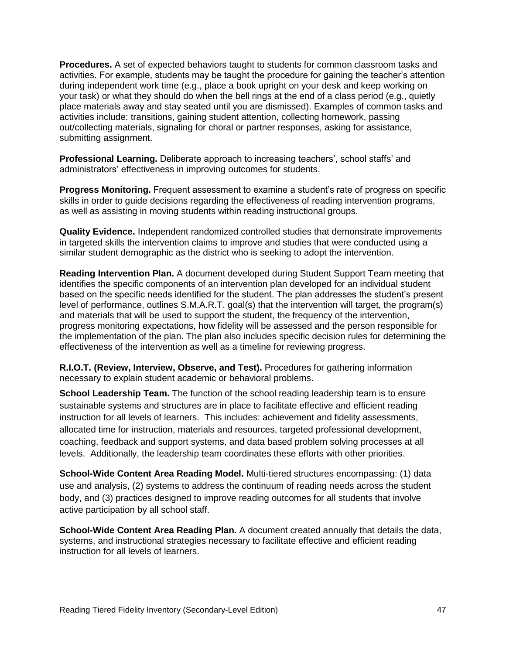**Procedures.** A set of expected behaviors taught to students for common classroom tasks and activities. For example, students may be taught the procedure for gaining the teacher's attention during independent work time (e.g., place a book upright on your desk and keep working on your task) or what they should do when the bell rings at the end of a class period (e.g., quietly place materials away and stay seated until you are dismissed). Examples of common tasks and activities include: transitions, gaining student attention, collecting homework, passing out/collecting materials, signaling for choral or partner responses, asking for assistance, submitting assignment.

**Professional Learning.** Deliberate approach to increasing teachers', school staffs' and administrators' effectiveness in improving outcomes for students.

**Progress Monitoring.** Frequent assessment to examine a student's rate of progress on specific skills in order to guide decisions regarding the effectiveness of reading intervention programs, as well as assisting in moving students within reading instructional groups.

**Quality Evidence.** Independent randomized controlled studies that demonstrate improvements in targeted skills the intervention claims to improve and studies that were conducted using a similar student demographic as the district who is seeking to adopt the intervention.

**Reading Intervention Plan.** A document developed during Student Support Team meeting that identifies the specific components of an intervention plan developed for an individual student based on the specific needs identified for the student. The plan addresses the student's present level of performance, outlines S.M.A.R.T. goal(s) that the intervention will target, the program(s) and materials that will be used to support the student, the frequency of the intervention, progress monitoring expectations, how fidelity will be assessed and the person responsible for the implementation of the plan. The plan also includes specific decision rules for determining the effectiveness of the intervention as well as a timeline for reviewing progress.

**R.I.O.T. (Review, Interview, Observe, and Test).** Procedures for gathering information necessary to explain student academic or behavioral problems.

**School Leadership Team.** The function of the school reading leadership team is to ensure sustainable systems and structures are in place to facilitate effective and efficient reading instruction for all levels of learners. This includes: achievement and fidelity assessments, allocated time for instruction, materials and resources, targeted professional development, coaching, feedback and support systems, and data based problem solving processes at all levels. Additionally, the leadership team coordinates these efforts with other priorities.

**School-Wide Content Area Reading Model.** Multi-tiered structures encompassing: (1) data use and analysis, (2) systems to address the continuum of reading needs across the student body, and (3) practices designed to improve reading outcomes for all students that involve active participation by all school staff.

**School-Wide Content Area Reading Plan.** A document created annually that details the data, systems, and instructional strategies necessary to facilitate effective and efficient reading instruction for all levels of learners.